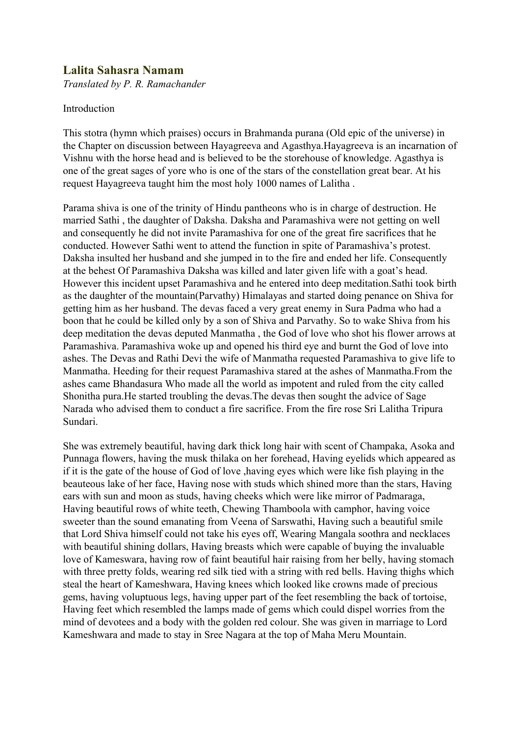## **Lalita Sahasra Namam**

*Translated by P. R. Ramachander*

## Introduction

This stotra (hymn which praises) occurs in Brahmanda purana (Old epic of the universe) in the Chapter on discussion between Hayagreeva and Agasthya.Hayagreeva is an incarnation of Vishnu with the horse head and is believed to be the storehouse of knowledge. Agasthya is one of the great sages of yore who is one of the stars of the constellation great bear. At his request Hayagreeva taught him the most holy 1000 names of Lalitha .

Parama shiva is one of the trinity of Hindu pantheons who is in charge of destruction. He married Sathi , the daughter of Daksha. Daksha and Paramashiva were not getting on well and consequently he did not invite Paramashiva for one of the great fire sacrifices that he conducted. However Sathi went to attend the function in spite of Paramashiva's protest. Daksha insulted her husband and she jumped in to the fire and ended her life. Consequently at the behest Of Paramashiva Daksha was killed and later given life with a goat's head. However this incident upset Paramashiva and he entered into deep meditation.Sathi took birth as the daughter of the mountain(Parvathy) Himalayas and started doing penance on Shiva for getting him as her husband. The devas faced a very great enemy in Sura Padma who had a boon that he could be killed only by a son of Shiva and Parvathy. So to wake Shiva from his deep meditation the devas deputed Manmatha , the God of love who shot his flower arrows at Paramashiva. Paramashiva woke up and opened his third eye and burnt the God of love into ashes. The Devas and Rathi Devi the wife of Manmatha requested Paramashiva to give life to Manmatha. Heeding for their request Paramashiva stared at the ashes of Manmatha.From the ashes came Bhandasura Who made all the world as impotent and ruled from the city called Shonitha pura.He started troubling the devas.The devas then sought the advice of Sage Narada who advised them to conduct a fire sacrifice. From the fire rose Sri Lalitha Tripura Sundari.

She was extremely beautiful, having dark thick long hair with scent of Champaka, Asoka and Punnaga flowers, having the musk thilaka on her forehead, Having eyelids which appeared as if it is the gate of the house of God of love ,having eyes which were like fish playing in the beauteous lake of her face, Having nose with studs which shined more than the stars, Having ears with sun and moon as studs, having cheeks which were like mirror of Padmaraga, Having beautiful rows of white teeth, Chewing Thamboola with camphor, having voice sweeter than the sound emanating from Veena of Sarswathi, Having such a beautiful smile that Lord Shiva himself could not take his eyes off, Wearing Mangala soothra and necklaces with beautiful shining dollars, Having breasts which were capable of buying the invaluable love of Kameswara, having row of faint beautiful hair raising from her belly, having stomach with three pretty folds, wearing red silk tied with a string with red bells. Having thighs which steal the heart of Kameshwara, Having knees which looked like crowns made of precious gems, having voluptuous legs, having upper part of the feet resembling the back of tortoise, Having feet which resembled the lamps made of gems which could dispel worries from the mind of devotees and a body with the golden red colour. She was given in marriage to Lord Kameshwara and made to stay in Sree Nagara at the top of Maha Meru Mountain.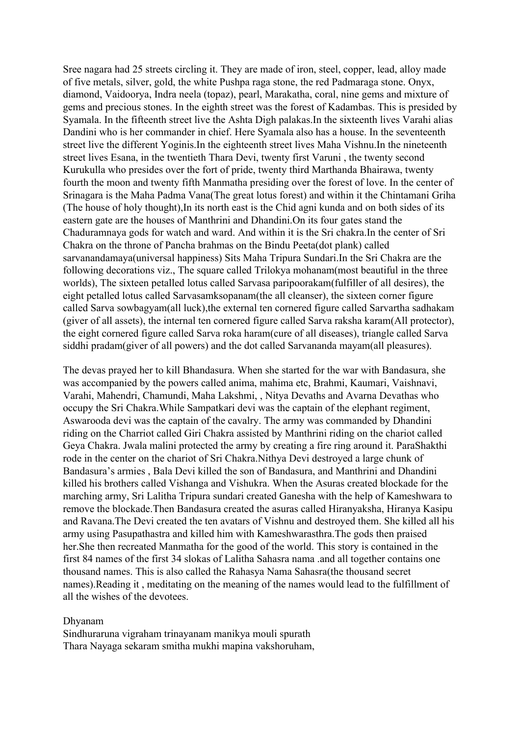Sree nagara had 25 streets circling it. They are made of iron, steel, copper, lead, alloy made of five metals, silver, gold, the white Pushpa raga stone, the red Padmaraga stone. Onyx, diamond, Vaidoorya, Indra neela (topaz), pearl, Marakatha, coral, nine gems and mixture of gems and precious stones. In the eighth street was the forest of Kadambas. This is presided by Syamala. In the fifteenth street live the Ashta Digh palakas.In the sixteenth lives Varahi alias Dandini who is her commander in chief. Here Syamala also has a house. In the seventeenth street live the different Yoginis.In the eighteenth street lives Maha Vishnu.In the nineteenth street lives Esana, in the twentieth Thara Devi, twenty first Varuni , the twenty second Kurukulla who presides over the fort of pride, twenty third Marthanda Bhairawa, twenty fourth the moon and twenty fifth Manmatha presiding over the forest of love. In the center of Srinagara is the Maha Padma Vana(The great lotus forest) and within it the Chintamani Griha (The house of holy thought),In its north east is the Chid agni kunda and on both sides of its eastern gate are the houses of Manthrini and Dhandini.On its four gates stand the Chaduramnaya gods for watch and ward. And within it is the Sri chakra.In the center of Sri Chakra on the throne of Pancha brahmas on the Bindu Peeta(dot plank) called sarvanandamaya(universal happiness) Sits Maha Tripura Sundari.In the Sri Chakra are the following decorations viz., The square called Trilokya mohanam(most beautiful in the three worlds), The sixteen petalled lotus called Sarvasa paripoorakam(fulfiller of all desires), the eight petalled lotus called Sarvasamksopanam(the all cleanser), the sixteen corner figure called Sarva sowbagyam(all luck),the external ten cornered figure called Sarvartha sadhakam (giver of all assets), the internal ten cornered figure called Sarva raksha karam(All protector), the eight cornered figure called Sarva roka haram(cure of all diseases), triangle called Sarva siddhi pradam(giver of all powers) and the dot called Sarvananda mayam(all pleasures).

The devas prayed her to kill Bhandasura. When she started for the war with Bandasura, she was accompanied by the powers called anima, mahima etc, Brahmi, Kaumari, Vaishnavi, Varahi, Mahendri, Chamundi, Maha Lakshmi, , Nitya Devaths and Avarna Devathas who occupy the Sri Chakra.While Sampatkari devi was the captain of the elephant regiment, Aswarooda devi was the captain of the cavalry. The army was commanded by Dhandini riding on the Charriot called Giri Chakra assisted by Manthrini riding on the chariot called Geya Chakra. Jwala malini protected the army by creating a fire ring around it. ParaShakthi rode in the center on the chariot of Sri Chakra.Nithya Devi destroyed a large chunk of Bandasura's armies , Bala Devi killed the son of Bandasura, and Manthrini and Dhandini killed his brothers called Vishanga and Vishukra. When the Asuras created blockade for the marching army, Sri Lalitha Tripura sundari created Ganesha with the help of Kameshwara to remove the blockade.Then Bandasura created the asuras called Hiranyaksha, Hiranya Kasipu and Ravana.The Devi created the ten avatars of Vishnu and destroyed them. She killed all his army using Pasupathastra and killed him with Kameshwarasthra.The gods then praised her.She then recreated Manmatha for the good of the world. This story is contained in the first 84 names of the first 34 slokas of Lalitha Sahasra nama .and all together contains one thousand names. This is also called the Rahasya Nama Sahasra(the thousand secret names).Reading it , meditating on the meaning of the names would lead to the fulfillment of all the wishes of the devotees.

## Dhyanam

Sindhuraruna vigraham trinayanam manikya mouli spurath Thara Nayaga sekaram smitha mukhi mapina vakshoruham,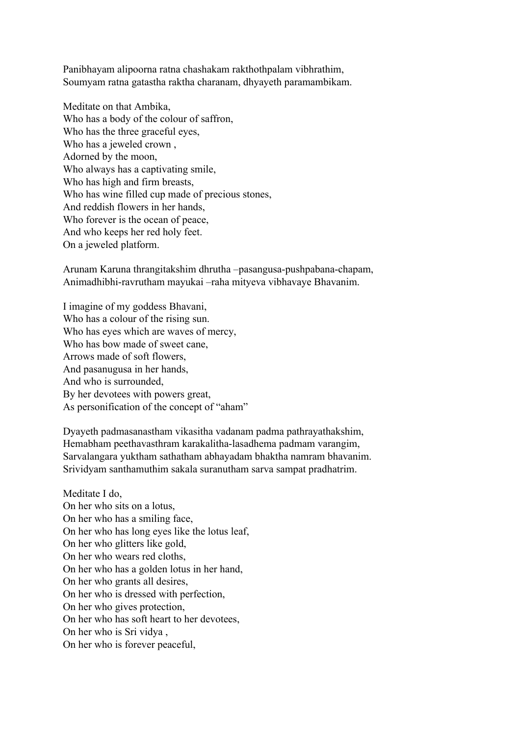Panibhayam alipoorna ratna chashakam rakthothpalam vibhrathim, Soumyam ratna gatastha raktha charanam, dhyayeth paramambikam.

Meditate on that Ambika, Who has a body of the colour of saffron, Who has the three graceful eyes, Who has a jeweled crown , Adorned by the moon, Who always has a captivating smile, Who has high and firm breasts, Who has wine filled cup made of precious stones, And reddish flowers in her hands, Who forever is the ocean of peace, And who keeps her red holy feet. On a jeweled platform.

Arunam Karuna thrangitakshim dhrutha –pasangusa-pushpabana-chapam, Animadhibhi-ravrutham mayukai –raha mityeva vibhavaye Bhavanim.

I imagine of my goddess Bhavani, Who has a colour of the rising sun. Who has eyes which are waves of mercy, Who has bow made of sweet cane, Arrows made of soft flowers, And pasanugusa in her hands, And who is surrounded, By her devotees with powers great, As personification of the concept of "aham"

Dyayeth padmasanastham vikasitha vadanam padma pathrayathakshim, Hemabham peethavasthram karakalitha-lasadhema padmam varangim, Sarvalangara yuktham sathatham abhayadam bhaktha namram bhavanim. Srividyam santhamuthim sakala suranutham sarva sampat pradhatrim.

Meditate I do, On her who sits on a lotus, On her who has a smiling face, On her who has long eyes like the lotus leaf, On her who glitters like gold, On her who wears red cloths, On her who has a golden lotus in her hand, On her who grants all desires, On her who is dressed with perfection, On her who gives protection, On her who has soft heart to her devotees, On her who is Sri vidya , On her who is forever peaceful,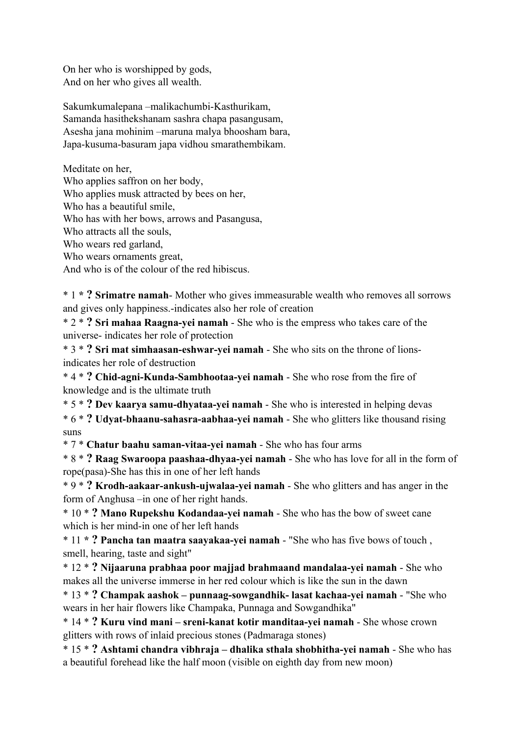On her who is worshipped by gods, And on her who gives all wealth.

Sakumkumalepana –malikachumbi-Kasthurikam, Samanda hasithekshanam sashra chapa pasangusam, Asesha jana mohinim –maruna malya bhoosham bara, Japa-kusuma-basuram japa vidhou smarathembikam.

Meditate on her, Who applies saffron on her body, Who applies musk attracted by bees on her, Who has a beautiful smile, Who has with her bows, arrows and Pasangusa, Who attracts all the souls, Who wears red garland, Who wears ornaments great,

And who is of the colour of the red hibiscus.

\* 1 **\* ? Srimatre namah**- Mother who gives immeasurable wealth who removes all sorrows and gives only happiness.-indicates also her role of creation

\* 2 \* **? Sri mahaa Raagna-yei namah** - She who is the empress who takes care of the universe- indicates her role of protection

\* 3 \* **? Sri mat simhaasan-eshwar-yei namah** - She who sits on the throne of lionsindicates her role of destruction

\* 4 \* **? Chid-agni-Kunda-Sambhootaa-yei namah** - She who rose from the fire of knowledge and is the ultimate truth

\* 5 \* **? Dev kaarya samu-dhyataa-yei namah** - She who is interested in helping devas

\* 6 \* **? Udyat-bhaanu-sahasra-aabhaa-yei namah** - She who glitters like thousand rising suns

\* 7 \* **Chatur baahu saman-vitaa-yei namah** - She who has four arms

\* 8 \* **? Raag Swaroopa paashaa-dhyaa-yei namah** - She who has love for all in the form of rope(pasa)-She has this in one of her left hands

\* 9 \* **? Krodh-aakaar-ankush-ujwalaa-yei namah** - She who glitters and has anger in the form of Anghusa –in one of her right hands.

\* 10 \* **? Mano Rupekshu Kodandaa-yei namah** - She who has the bow of sweet cane which is her mind-in one of her left hands

\* 11 **\* ? Pancha tan maatra saayakaa-yei namah** - "She who has five bows of touch , smell, hearing, taste and sight"

\* 12 \* **? Nijaaruna prabhaa poor majjad brahmaand mandalaa-yei namah** - She who makes all the universe immerse in her red colour which is like the sun in the dawn

\* 13 \* **? Champak aashok – punnaag-sowgandhik- lasat kachaa-yei namah** - "She who wears in her hair flowers like Champaka, Punnaga and Sowgandhika"

\* 14 \* **? Kuru vind mani – sreni-kanat kotir manditaa-yei namah** - She whose crown glitters with rows of inlaid precious stones (Padmaraga stones)

\* 15 \* **? Ashtami chandra vibhraja – dhalika sthala shobhitha-yei namah** - She who has a beautiful forehead like the half moon (visible on eighth day from new moon)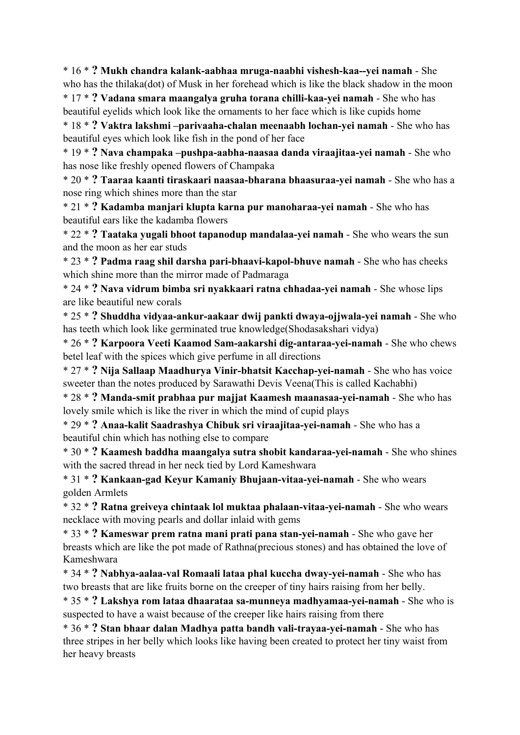\* 16 \* **? Mukh chandra kalank-aabhaa mruga-naabhi vishesh-kaa--yei namah** - She who has the thilaka(dot) of Musk in her forehead which is like the black shadow in the moon

\* 17 \* **? Vadana smara maangalya gruha torana chilli-kaa-yei namah** - She who has beautiful eyelids which look like the ornaments to her face which is like cupids home

\* 18 \* **? Vaktra lakshmi –parivaaha-chalan meenaabh lochan-yei namah** - She who has beautiful eyes which look like fish in the pond of her face

\* 19 \* **? Nava champaka –pushpa-aabha-naasaa danda viraajitaa-yei namah** - She who has nose like freshly opened flowers of Champaka

\* 20 \* **? Taaraa kaanti tiraskaari naasaa-bharana bhaasuraa-yei namah** - She who has a nose ring which shines more than the star

\* 21 \* **? Kadamba manjari klupta karna pur manoharaa-yei namah** - She who has beautiful ears like the kadamba flowers

\* 22 \* **? Taataka yugali bhoot tapanodup mandalaa-yei namah** - She who wears the sun and the moon as her ear studs

\* 23 \* **? Padma raag shil darsha pari-bhaavi-kapol-bhuve namah** - She who has cheeks which shine more than the mirror made of Padmaraga

\* 24 \* **? Nava vidrum bimba sri nyakkaari ratna chhadaa-yei namah** - She whose lips are like beautiful new corals

\* 25 \* **? Shuddha vidyaa-ankur-aakaar dwij pankti dwaya-ojjwala-yei namah** - She who has teeth which look like germinated true knowledge(Shodasakshari vidya)

\* 26 \* **? Karpoora Veeti Kaamod Sam-aakarshi dig-antaraa-yei-namah** - She who chews betel leaf with the spices which give perfume in all directions

\* 27 \* **? Nija Sallaap Maadhurya Vinir-bhatsit Kacchap-yei-namah** - She who has voice sweeter than the notes produced by Sarawathi Devis Veena(This is called Kachabhi)

\* 28 \* **? Manda-smit prabhaa pur majjat Kaamesh maanasaa-yei-namah** - She who has lovely smile which is like the river in which the mind of cupid plays

\* 29 \* **? Anaa-kalit Saadrashya Chibuk sri viraajitaa-yei-namah** - She who has a beautiful chin which has nothing else to compare

\* 30 \* **? Kaamesh baddha maangalya sutra shobit kandaraa-yei-namah** - She who shines with the sacred thread in her neck tied by Lord Kameshwara

\* 31 \* **? Kankaan-gad Keyur Kamaniy Bhujaan-vitaa-yei-namah** - She who wears golden Armlets

\* 32 \* **? Ratna greiveya chintaak lol muktaa phalaan-vitaa-yei-namah** - She who wears necklace with moving pearls and dollar inlaid with gems

\* 33 \* **? Kameswar prem ratna mani prati pana stan-yei-namah** - She who gave her breasts which are like the pot made of Rathna(precious stones) and has obtained the love of Kameshwara

\* 34 \* **? Nabhya-aalaa-val Romaali lataa phal kuccha dway-yei-namah** - She who has two breasts that are like fruits borne on the creeper of tiny hairs raising from her belly.

\* 35 \* **? Lakshya rom lataa dhaarataa sa-munneya madhyamaa-yei-namah** - She who is suspected to have a waist because of the creeper like hairs raising from there

\* 36 \* **? Stan bhaar dalan Madhya patta bandh vali-trayaa-yei-namah** - She who has three stripes in her belly which looks like having been created to protect her tiny waist from her heavy breasts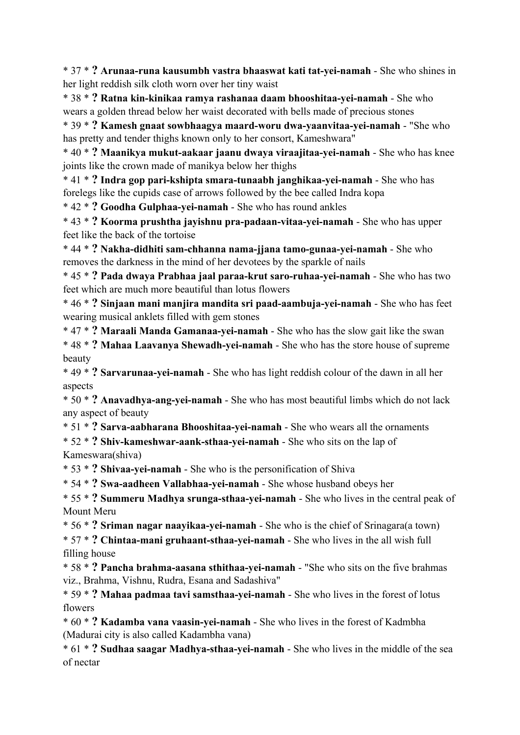\* 37 \* **? Arunaa-runa kausumbh vastra bhaaswat kati tat-yei-namah** - She who shines in her light reddish silk cloth worn over her tiny waist

\* 38 \* **? Ratna kin-kinikaa ramya rashanaa daam bhooshitaa-yei-namah** - She who wears a golden thread below her waist decorated with bells made of precious stones

\* 39 \* **? Kamesh gnaat sowbhaagya maard-woru dwa-yaanvitaa-yei-namah** - "She who has pretty and tender thighs known only to her consort, Kameshwara"

\* 40 \* **? Maanikya mukut-aakaar jaanu dwaya viraajitaa-yei-namah** - She who has knee joints like the crown made of manikya below her thighs

\* 41 \* **? Indra gop pari-kshipta smara-tunaabh janghikaa-yei-namah** - She who has forelegs like the cupids case of arrows followed by the bee called Indra kopa

\* 42 \* **? Goodha Gulphaa-yei-namah** - She who has round ankles

\* 43 \* **? Koorma prushtha jayishnu pra-padaan-vitaa-yei-namah** - She who has upper feet like the back of the tortoise

\* 44 \* **? Nakha-didhiti sam-chhanna nama-jjana tamo-gunaa-yei-namah** - She who removes the darkness in the mind of her devotees by the sparkle of nails

\* 45 \* **? Pada dwaya Prabhaa jaal paraa-krut saro-ruhaa-yei-namah** - She who has two feet which are much more beautiful than lotus flowers

\* 46 \* **? Sinjaan mani manjira mandita sri paad-aambuja-yei-namah** - She who has feet wearing musical anklets filled with gem stones

\* 47 \* **? Maraali Manda Gamanaa-yei-namah** - She who has the slow gait like the swan

\* 48 \* **? Mahaa Laavanya Shewadh-yei-namah** - She who has the store house of supreme beauty

\* 49 \* **? Sarvarunaa-yei-namah** - She who has light reddish colour of the dawn in all her aspects

\* 50 \* **? Anavadhya-ang-yei-namah** - She who has most beautiful limbs which do not lack any aspect of beauty

\* 51 \* **? Sarva-aabharana Bhooshitaa-yei-namah** - She who wears all the ornaments

\* 52 \* **? Shiv-kameshwar-aank-sthaa-yei-namah** - She who sits on the lap of Kameswara(shiva)

\* 53 \* **? Shivaa-yei-namah** - She who is the personification of Shiva

\* 54 \* **? Swa-aadheen Vallabhaa-yei-namah** - She whose husband obeys her

\* 55 \* **? Summeru Madhya srunga-sthaa-yei-namah** - She who lives in the central peak of Mount Meru

\* 56 \* **? Sriman nagar naayikaa-yei-namah** - She who is the chief of Srinagara(a town)

\* 57 \* **? Chintaa-mani gruhaant-sthaa-yei-namah** - She who lives in the all wish full filling house

\* 58 \* **? Pancha brahma-aasana sthithaa-yei-namah** - "She who sits on the five brahmas viz., Brahma, Vishnu, Rudra, Esana and Sadashiva"

\* 59 \* **? Mahaa padmaa tavi samsthaa-yei-namah** - She who lives in the forest of lotus flowers

\* 60 \* **? Kadamba vana vaasin-yei-namah** - She who lives in the forest of Kadmbha (Madurai city is also called Kadambha vana)

\* 61 \* **? Sudhaa saagar Madhya-sthaa-yei-namah** - She who lives in the middle of the sea of nectar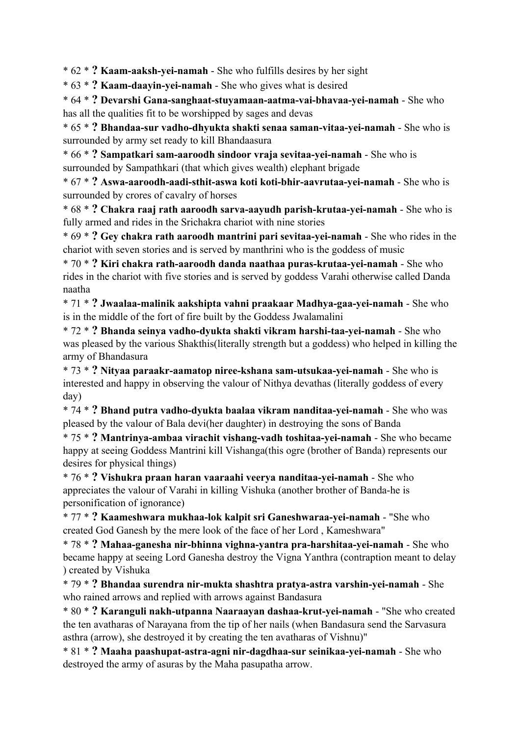\* 62 \* **? Kaam-aaksh-yei-namah** - She who fulfills desires by her sight

\* 63 \* **? Kaam-daayin-yei-namah** - She who gives what is desired

\* 64 \* **? Devarshi Gana-sanghaat-stuyamaan-aatma-vai-bhavaa-yei-namah** - She who has all the qualities fit to be worshipped by sages and devas

\* 65 \* **? Bhandaa-sur vadho-dhyukta shakti senaa saman-vitaa-yei-namah** - She who is surrounded by army set ready to kill Bhandaasura

\* 66 \* **? Sampatkari sam-aaroodh sindoor vraja sevitaa-yei-namah** - She who is surrounded by Sampathkari (that which gives wealth) elephant brigade

\* 67 \* **? Aswa-aaroodh-aadi-sthit-aswa koti koti-bhir-aavrutaa-yei-namah** - She who is surrounded by crores of cavalry of horses

\* 68 \* **? Chakra raaj rath aaroodh sarva-aayudh parish-krutaa-yei-namah** - She who is fully armed and rides in the Srichakra chariot with nine stories

\* 69 \* **? Gey chakra rath aaroodh mantrini pari sevitaa-yei-namah** - She who rides in the chariot with seven stories and is served by manthrini who is the goddess of music

\* 70 \* **? Kiri chakra rath-aaroodh danda naathaa puras-krutaa-yei-namah** - She who rides in the chariot with five stories and is served by goddess Varahi otherwise called Danda naatha

\* 71 \* **? Jwaalaa-malinik aakshipta vahni praakaar Madhya-gaa-yei-namah** - She who is in the middle of the fort of fire built by the Goddess Jwalamalini

\* 72 \* **? Bhanda seinya vadho-dyukta shakti vikram harshi-taa-yei-namah** - She who was pleased by the various Shakthis(literally strength but a goddess) who helped in killing the army of Bhandasura

\* 73 \* **? Nityaa paraakr-aamatop niree-kshana sam-utsukaa-yei-namah** - She who is interested and happy in observing the valour of Nithya devathas (literally goddess of every day)

\* 74 \* **? Bhand putra vadho-dyukta baalaa vikram nanditaa-yei-namah** - She who was pleased by the valour of Bala devi(her daughter) in destroying the sons of Banda

\* 75 \* **? Mantrinya-ambaa virachit vishang-vadh toshitaa-yei-namah** - She who became happy at seeing Goddess Mantrini kill Vishanga(this ogre (brother of Banda) represents our desires for physical things)

\* 76 \* **? Vishukra praan haran vaaraahi veerya nanditaa-yei-namah** - She who appreciates the valour of Varahi in killing Vishuka (another brother of Banda-he is personification of ignorance)

\* 77 \* **? Kaameshwara mukhaa-lok kalpit sri Ganeshwaraa-yei-namah** - "She who created God Ganesh by the mere look of the face of her Lord , Kameshwara"

\* 78 \* **? Mahaa-ganesha nir-bhinna vighna-yantra pra-harshitaa-yei-namah** - She who became happy at seeing Lord Ganesha destroy the Vigna Yanthra (contraption meant to delay ) created by Vishuka

\* 79 \* **? Bhandaa surendra nir-mukta shashtra pratya-astra varshin-yei-namah** - She who rained arrows and replied with arrows against Bandasura

\* 80 \* **? Karanguli nakh-utpanna Naaraayan dashaa-krut-yei-namah** - "She who created the ten avatharas of Narayana from the tip of her nails (when Bandasura send the Sarvasura asthra (arrow), she destroyed it by creating the ten avatharas of Vishnu)"

\* 81 \* **? Maaha paashupat-astra-agni nir-dagdhaa-sur seinikaa-yei-namah** - She who destroyed the army of asuras by the Maha pasupatha arrow.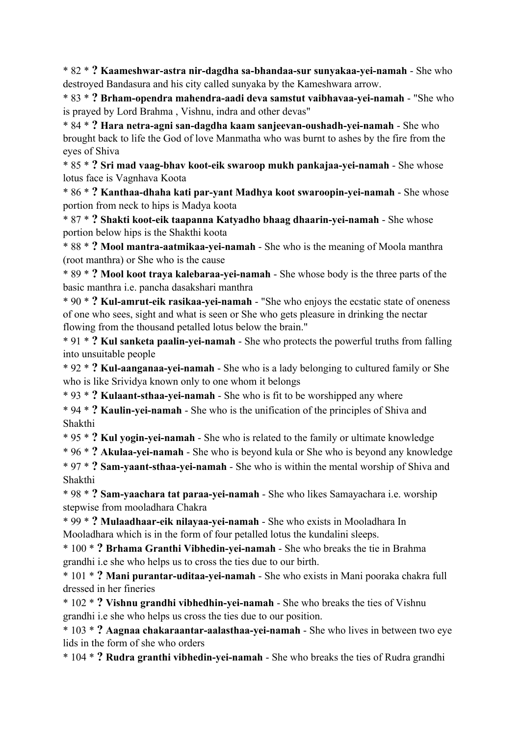\* 82 \* **? Kaameshwar-astra nir-dagdha sa-bhandaa-sur sunyakaa-yei-namah** - She who destroyed Bandasura and his city called sunyaka by the Kameshwara arrow.

\* 83 \* **? Brham-opendra mahendra-aadi deva samstut vaibhavaa-yei-namah** - "She who is prayed by Lord Brahma , Vishnu, indra and other devas"

\* 84 \* **? Hara netra-agni san-dagdha kaam sanjeevan-oushadh-yei-namah** - She who brought back to life the God of love Manmatha who was burnt to ashes by the fire from the eyes of Shiva

\* 85 \* **? Sri mad vaag-bhav koot-eik swaroop mukh pankajaa-yei-namah** - She whose lotus face is Vagnhava Koota

\* 86 \* **? Kanthaa-dhaha kati par-yant Madhya koot swaroopin-yei-namah** - She whose portion from neck to hips is Madya koota

\* 87 \* **? Shakti koot-eik taapanna Katyadho bhaag dhaarin-yei-namah** - She whose portion below hips is the Shakthi koota

\* 88 \* **? Mool mantra-aatmikaa-yei-namah** - She who is the meaning of Moola manthra (root manthra) or She who is the cause

\* 89 \* **? Mool koot traya kalebaraa-yei-namah** - She whose body is the three parts of the basic manthra i.e. pancha dasakshari manthra

\* 90 \* **? Kul-amrut-eik rasikaa-yei-namah** - "She who enjoys the ecstatic state of oneness of one who sees, sight and what is seen or She who gets pleasure in drinking the nectar flowing from the thousand petalled lotus below the brain."

\* 91 \* **? Kul sanketa paalin-yei-namah** - She who protects the powerful truths from falling into unsuitable people

\* 92 \* **? Kul-aanganaa-yei-namah** - She who is a lady belonging to cultured family or She who is like Srividya known only to one whom it belongs

\* 93 \* **? Kulaant-sthaa-yei-namah** - She who is fit to be worshipped any where

\* 94 \* **? Kaulin-yei-namah** - She who is the unification of the principles of Shiva and Shakthi

\* 95 \* **? Kul yogin-yei-namah** - She who is related to the family or ultimate knowledge

\* 96 \* **? Akulaa-yei-namah** - She who is beyond kula or She who is beyond any knowledge

\* 97 \* **? Sam-yaant-sthaa-yei-namah** - She who is within the mental worship of Shiva and Shakthi

\* 98 \* **? Sam-yaachara tat paraa-yei-namah** - She who likes Samayachara i.e. worship stepwise from mooladhara Chakra

\* 99 \* **? Mulaadhaar-eik nilayaa-yei-namah** - She who exists in Mooladhara In Mooladhara which is in the form of four petalled lotus the kundalini sleeps.

\* 100 \* **? Brhama Granthi Vibhedin-yei-namah** - She who breaks the tie in Brahma grandhi i.e she who helps us to cross the ties due to our birth.

\* 101 \* **? Mani purantar-uditaa-yei-namah** - She who exists in Mani pooraka chakra full dressed in her fineries

\* 102 \* **? Vishnu grandhi vibhedhin-yei-namah** - She who breaks the ties of Vishnu grandhi i.e she who helps us cross the ties due to our position.

\* 103 \* **? Aagnaa chakaraantar-aalasthaa-yei-namah** - She who lives in between two eye lids in the form of she who orders

\* 104 \* **? Rudra granthi vibhedin-yei-namah** - She who breaks the ties of Rudra grandhi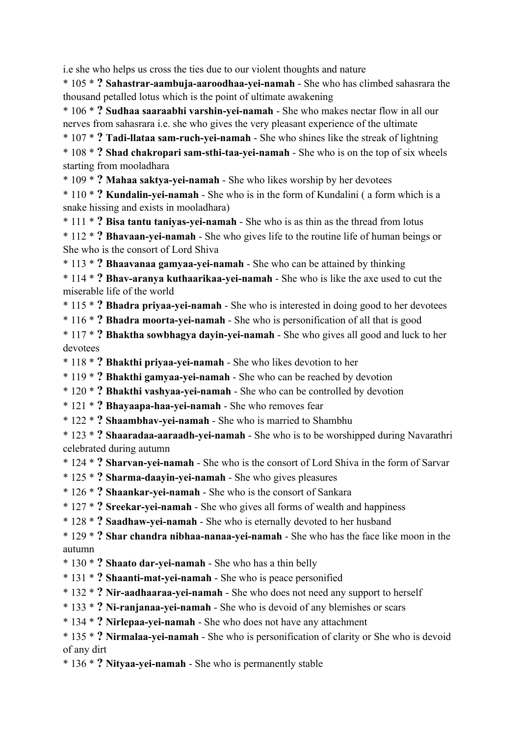i.e she who helps us cross the ties due to our violent thoughts and nature

\* 105 \* **? Sahastrar-aambuja-aaroodhaa-yei-namah** - She who has climbed sahasrara the thousand petalled lotus which is the point of ultimate awakening

\* 106 \* **? Sudhaa saaraabhi varshin-yei-namah** - She who makes nectar flow in all our nerves from sahasrara i.e. she who gives the very pleasant experience of the ultimate

\* 107 \* **? Tadi-llataa sam-ruch-yei-namah** - She who shines like the streak of lightning

\* 108 \* **? Shad chakropari sam-sthi-taa-yei-namah** - She who is on the top of six wheels starting from mooladhara

\* 109 \* **? Mahaa saktya-yei-namah** - She who likes worship by her devotees

\* 110 \* **? Kundalin-yei-namah** - She who is in the form of Kundalini ( a form which is a snake hissing and exists in mooladhara)

\* 111 \* **? Bisa tantu taniyas-yei-namah** - She who is as thin as the thread from lotus

\* 112 \* **? Bhavaan-yei-namah** - She who gives life to the routine life of human beings or She who is the consort of Lord Shiva

\* 113 \* **? Bhaavanaa gamyaa-yei-namah** - She who can be attained by thinking

\* 114 \* **? Bhav-aranya kuthaarikaa-yei-namah** - She who is like the axe used to cut the miserable life of the world

\* 115 \* **? Bhadra priyaa-yei-namah** - She who is interested in doing good to her devotees

\* 116 \* **? Bhadra moorta-yei-namah** - She who is personification of all that is good

\* 117 \* **? Bhaktha sowbhagya dayin-yei-namah** - She who gives all good and luck to her devotees

\* 118 \* **? Bhakthi priyaa-yei-namah** - She who likes devotion to her

\* 119 \* **? Bhakthi gamyaa-yei-namah** - She who can be reached by devotion

\* 120 \* **? Bhakthi vashyaa-yei-namah** - She who can be controlled by devotion

\* 121 \* **? Bhayaapa-haa-yei-namah** - She who removes fear

\* 122 \* **? Shaambhav-yei-namah** - She who is married to Shambhu

\* 123 \* **? Shaaradaa-aaraadh-yei-namah** - She who is to be worshipped during Navarathri celebrated during autumn

\* 124 \* **? Sharvan-yei-namah** - She who is the consort of Lord Shiva in the form of Sarvar

- \* 125 \* **? Sharma-daayin-yei-namah** She who gives pleasures
- \* 126 \* **? Shaankar-yei-namah** She who is the consort of Sankara
- \* 127 \* **? Sreekar-yei-namah** She who gives all forms of wealth and happiness

\* 128 \* **? Saadhaw-yei-namah** - She who is eternally devoted to her husband

\* 129 \* **? Shar chandra nibhaa-nanaa-yei-namah** - She who has the face like moon in the autumn

- \* 130 \* **? Shaato dar-yei-namah** She who has a thin belly
- \* 131 \* **? Shaanti-mat-yei-namah** She who is peace personified
- \* 132 \* **? Nir-aadhaaraa-yei-namah** She who does not need any support to herself
- \* 133 \* **? Ni-ranjanaa-yei-namah** She who is devoid of any blemishes or scars
- \* 134 \* **? Nirlepaa-yei-namah** She who does not have any attachment

\* 135 \* **? Nirmalaa-yei-namah** - She who is personification of clarity or She who is devoid of any dirt

\* 136 \* **? Nityaa-yei-namah** - She who is permanently stable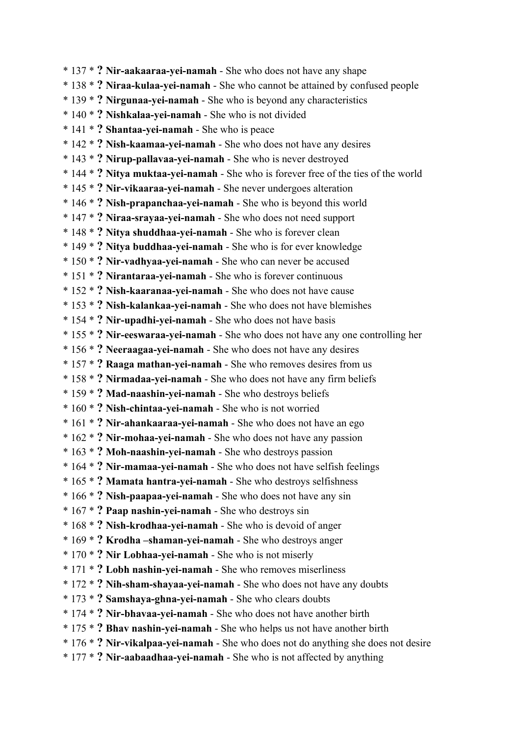\* 137 \* **? Nir-aakaaraa-yei-namah** - She who does not have any shape \* 138 \* **? Niraa-kulaa-yei-namah** - She who cannot be attained by confused people \* 139 \* **? Nirgunaa-yei-namah** - She who is beyond any characteristics \* 140 \* **? Nishkalaa-yei-namah** - She who is not divided \* 141 \* **? Shantaa-yei-namah** - She who is peace \* 142 \* **? Nish-kaamaa-yei-namah** - She who does not have any desires \* 143 \* **? Nirup-pallavaa-yei-namah** - She who is never destroyed \* 144 \* **? Nitya muktaa-yei-namah** - She who is forever free of the ties of the world \* 145 \* **? Nir-vikaaraa-yei-namah** - She never undergoes alteration \* 146 \* **? Nish-prapanchaa-yei-namah** - She who is beyond this world \* 147 \* **? Niraa-srayaa-yei-namah** - She who does not need support \* 148 \* **? Nitya shuddhaa-yei-namah** - She who is forever clean \* 149 \* **? Nitya buddhaa-yei-namah** - She who is for ever knowledge \* 150 \* **? Nir-vadhyaa-yei-namah** - She who can never be accused \* 151 \* **? Nirantaraa-yei-namah** - She who is forever continuous \* 152 \* **? Nish-kaaranaa-yei-namah** - She who does not have cause \* 153 \* **? Nish-kalankaa-yei-namah** - She who does not have blemishes \* 154 \* **? Nir-upadhi-yei-namah** - She who does not have basis \* 155 \* **? Nir-eeswaraa-yei-namah** - She who does not have any one controlling her \* 156 \* **? Neeraagaa-yei-namah** - She who does not have any desires \* 157 \* **? Raaga mathan-yei-namah** - She who removes desires from us \* 158 \* **? Nirmadaa-yei-namah** - She who does not have any firm beliefs \* 159 \* **? Mad-naashin-yei-namah** - She who destroys beliefs \* 160 \* **? Nish-chintaa-yei-namah** - She who is not worried \* 161 \* **? Nir-ahankaaraa-yei-namah** - She who does not have an ego \* 162 \* **? Nir-mohaa-yei-namah** - She who does not have any passion \* 163 \* **? Moh-naashin-yei-namah** - She who destroys passion \* 164 \* **? Nir-mamaa-yei-namah** - She who does not have selfish feelings \* 165 \* **? Mamata hantra-yei-namah** - She who destroys selfishness \* 166 \* **? Nish-paapaa-yei-namah** - She who does not have any sin \* 167 \* **? Paap nashin-yei-namah** - She who destroys sin \* 168 \* **? Nish-krodhaa-yei-namah** - She who is devoid of anger \* 169 \* **? Krodha –shaman-yei-namah** - She who destroys anger \* 170 \* **? Nir Lobhaa-yei-namah** - She who is not miserly \* 171 \* **? Lobh nashin-yei-namah** - She who removes miserliness \* 172 \* **? Nih-sham-shayaa-yei-namah** - She who does not have any doubts \* 173 \* **? Samshaya-ghna-yei-namah** - She who clears doubts \* 174 \* **? Nir-bhavaa-yei-namah** - She who does not have another birth \* 175 \* **? Bhav nashin-yei-namah** - She who helps us not have another birth \* 176 \* **? Nir-vikalpaa-yei-namah** - She who does not do anything she does not desire \* 177 \* **? Nir-aabaadhaa-yei-namah** - She who is not affected by anything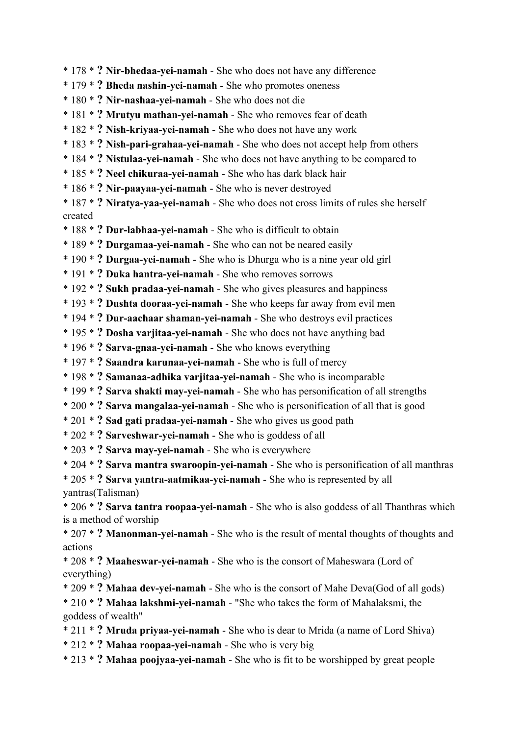- \* 178 \* **? Nir-bhedaa-yei-namah** She who does not have any difference
- \* 179 \* **? Bheda nashin-yei-namah** She who promotes oneness
- \* 180 \* **? Nir-nashaa-yei-namah** She who does not die
- \* 181 \* **? Mrutyu mathan-yei-namah** She who removes fear of death
- \* 182 \* **? Nish-kriyaa-yei-namah** She who does not have any work
- \* 183 \* **? Nish-pari-grahaa-yei-namah** She who does not accept help from others
- \* 184 \* **? Nistulaa-yei-namah** She who does not have anything to be compared to
- \* 185 \* **? Neel chikuraa-yei-namah** She who has dark black hair
- \* 186 \* **? Nir-paayaa-yei-namah** She who is never destroyed
- \* 187 \* **? Niratya-yaa-yei-namah** She who does not cross limits of rules she herself created
- \* 188 \* **? Dur-labhaa-yei-namah** She who is difficult to obtain
- \* 189 \* **? Durgamaa-yei-namah** She who can not be neared easily
- \* 190 \* **? Durgaa-yei-namah** She who is Dhurga who is a nine year old girl
- \* 191 \* **? Duka hantra-yei-namah** She who removes sorrows
- \* 192 \* **? Sukh pradaa-yei-namah** She who gives pleasures and happiness
- \* 193 \* **? Dushta dooraa-yei-namah** She who keeps far away from evil men
- \* 194 \* **? Dur-aachaar shaman-yei-namah** She who destroys evil practices
- \* 195 \* **? Dosha varjitaa-yei-namah** She who does not have anything bad
- \* 196 \* **? Sarva-gnaa-yei-namah** She who knows everything
- \* 197 \* **? Saandra karunaa-yei-namah** She who is full of mercy
- \* 198 \* **? Samanaa-adhika varjitaa-yei-namah** She who is incomparable
- \* 199 \* **? Sarva shakti may-yei-namah** She who has personification of all strengths
- \* 200 \* **? Sarva mangalaa-yei-namah** She who is personification of all that is good
- \* 201 \* **? Sad gati pradaa-yei-namah** She who gives us good path
- \* 202 \* **? Sarveshwar-yei-namah** She who is goddess of all
- \* 203 \* **? Sarva may-yei-namah** She who is everywhere
- \* 204 \* **? Sarva mantra swaroopin-yei-namah** She who is personification of all manthras
- \* 205 \* **? Sarva yantra-aatmikaa-yei-namah** She who is represented by all yantras(Talisman)
- \* 206 \* **? Sarva tantra roopaa-yei-namah** She who is also goddess of all Thanthras which is a method of worship
- \* 207 \* **? Manonman-yei-namah** She who is the result of mental thoughts of thoughts and actions
- \* 208 \* **? Maaheswar-yei-namah** She who is the consort of Maheswara (Lord of everything)
- \* 209 \* **? Mahaa dev-yei-namah** She who is the consort of Mahe Deva(God of all gods)
- \* 210 \* **? Mahaa lakshmi-yei-namah** "She who takes the form of Mahalaksmi, the goddess of wealth"
- \* 211 \* **? Mruda priyaa-yei-namah** She who is dear to Mrida (a name of Lord Shiva)
- \* 212 \* **? Mahaa roopaa-yei-namah** She who is very big
- \* 213 \* **? Mahaa poojyaa-yei-namah** She who is fit to be worshipped by great people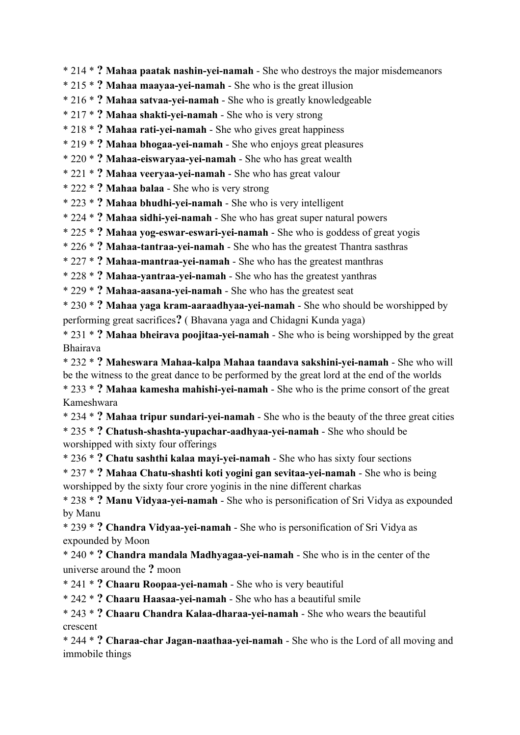\* 214 \* **? Mahaa paatak nashin-yei-namah** - She who destroys the major misdemeanors

\* 215 \* **? Mahaa maayaa-yei-namah** - She who is the great illusion

\* 216 \* **? Mahaa satvaa-yei-namah** - She who is greatly knowledgeable

\* 217 \* **? Mahaa shakti-yei-namah** - She who is very strong

\* 218 \* **? Mahaa rati-yei-namah** - She who gives great happiness

\* 219 \* **? Mahaa bhogaa-yei-namah** - She who enjoys great pleasures

\* 220 \* **? Mahaa-eiswaryaa-yei-namah** - She who has great wealth

\* 221 \* **? Mahaa veeryaa-yei-namah** - She who has great valour

\* 222 \* **? Mahaa balaa** - She who is very strong

\* 223 \* **? Mahaa bhudhi-yei-namah** - She who is very intelligent

\* 224 \* **? Mahaa sidhi-yei-namah** - She who has great super natural powers

\* 225 \* **? Mahaa yog-eswar-eswari-yei-namah** - She who is goddess of great yogis

\* 226 \* **? Mahaa-tantraa-yei-namah** - She who has the greatest Thantra sasthras

\* 227 \* **? Mahaa-mantraa-yei-namah** - She who has the greatest manthras

\* 228 \* **? Mahaa-yantraa-yei-namah** - She who has the greatest yanthras

\* 229 \* **? Mahaa-aasana-yei-namah** - She who has the greatest seat

\* 230 \* **? Mahaa yaga kram-aaraadhyaa-yei-namah** - She who should be worshipped by performing great sacrifices**?** ( Bhavana yaga and Chidagni Kunda yaga)

\* 231 \* **? Mahaa bheirava poojitaa-yei-namah** - She who is being worshipped by the great Bhairava

\* 232 \* **? Maheswara Mahaa-kalpa Mahaa taandava sakshini-yei-namah** - She who will be the witness to the great dance to be performed by the great lord at the end of the worlds \* 233 \* **? Mahaa kamesha mahishi-yei-namah** - She who is the prime consort of the great

Kameshwara

\* 234 \* **? Mahaa tripur sundari-yei-namah** - She who is the beauty of the three great cities \* 235 \* **? Chatush-shashta-yupachar-aadhyaa-yei-namah** - She who should be worshipped with sixty four offerings

\* 236 \* **? Chatu sashthi kalaa mayi-yei-namah** - She who has sixty four sections

\* 237 \* **? Mahaa Chatu-shashti koti yogini gan sevitaa-yei-namah** - She who is being worshipped by the sixty four crore yoginis in the nine different charkas

\* 238 \* **? Manu Vidyaa-yei-namah** - She who is personification of Sri Vidya as expounded by Manu

\* 239 \* **? Chandra Vidyaa-yei-namah** - She who is personification of Sri Vidya as expounded by Moon

\* 240 \* **? Chandra mandala Madhyagaa-yei-namah** - She who is in the center of the universe around the **?** moon

\* 241 \* **? Chaaru Roopaa-yei-namah** - She who is very beautiful

\* 242 \* **? Chaaru Haasaa-yei-namah** - She who has a beautiful smile

\* 243 \* **? Chaaru Chandra Kalaa-dharaa-yei-namah** - She who wears the beautiful crescent

\* 244 \* **? Charaa-char Jagan-naathaa-yei-namah** - She who is the Lord of all moving and immobile things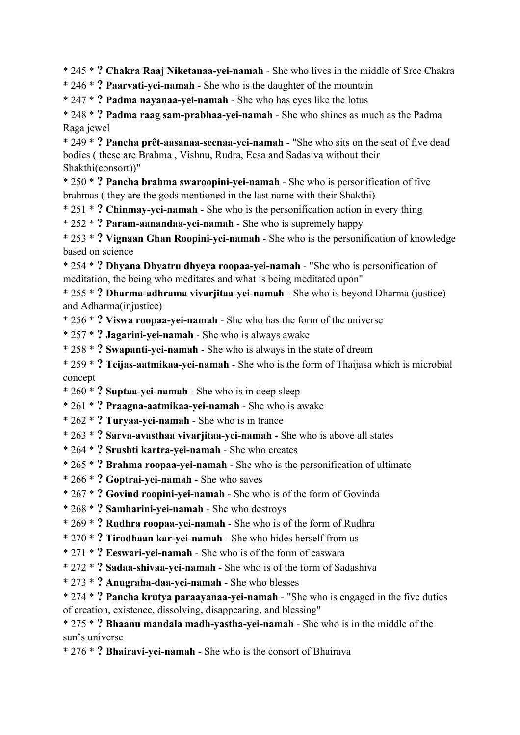\* 245 \* **? Chakra Raaj Niketanaa-yei-namah** - She who lives in the middle of Sree Chakra

\* 246 \* **? Paarvati-yei-namah** - She who is the daughter of the mountain

\* 247 \* **? Padma nayanaa-yei-namah** - She who has eyes like the lotus

\* 248 \* **? Padma raag sam-prabhaa-yei-namah** - She who shines as much as the Padma Raga jewel

\* 249 \* **? Pancha prêt-aasanaa-seenaa-yei-namah** - "She who sits on the seat of five dead bodies ( these are Brahma , Vishnu, Rudra, Eesa and Sadasiva without their Shakthi(consort))"

\* 250 \* **? Pancha brahma swaroopini-yei-namah** - She who is personification of five brahmas ( they are the gods mentioned in the last name with their Shakthi)

\* 251 \* **? Chinmay-yei-namah** - She who is the personification action in every thing

\* 252 \* **? Param-aanandaa-yei-namah** - She who is supremely happy

\* 253 \* **? Vignaan Ghan Roopini-yei-namah** - She who is the personification of knowledge based on science

\* 254 \* **? Dhyana Dhyatru dhyeya roopaa-yei-namah** - "She who is personification of meditation, the being who meditates and what is being meditated upon"

\* 255 \* **? Dharma-adhrama vivarjitaa-yei-namah** - She who is beyond Dharma (justice) and Adharma(injustice)

\* 256 \* **? Viswa roopaa-yei-namah** - She who has the form of the universe

\* 257 \* **? Jagarini-yei-namah** - She who is always awake

\* 258 \* **? Swapanti-yei-namah** - She who is always in the state of dream

\* 259 \* **? Teijas-aatmikaa-yei-namah** - She who is the form of Thaijasa which is microbial concept

\* 260 \* **? Suptaa-yei-namah** - She who is in deep sleep

\* 261 \* **? Praagna-aatmikaa-yei-namah** - She who is awake

\* 262 \* **? Turyaa-yei-namah** - She who is in trance

\* 263 \* **? Sarva-avasthaa vivarjitaa-yei-namah** - She who is above all states

- \* 264 \* **? Srushti kartra-yei-namah** She who creates
- \* 265 \* **? Brahma roopaa-yei-namah** She who is the personification of ultimate
- \* 266 \* **? Goptrai-yei-namah** She who saves
- \* 267 \* **? Govind roopini-yei-namah** She who is of the form of Govinda
- \* 268 \* **? Samharini-yei-namah** She who destroys
- \* 269 \* **? Rudhra roopaa-yei-namah** She who is of the form of Rudhra
- \* 270 \* **? Tirodhaan kar-yei-namah** She who hides herself from us
- \* 271 \* **? Eeswari-yei-namah** She who is of the form of easwara
- \* 272 \* **? Sadaa-shivaa-yei-namah** She who is of the form of Sadashiva
- \* 273 \* **? Anugraha-daa-yei-namah** She who blesses

\* 274 \* **? Pancha krutya paraayanaa-yei-namah** - "She who is engaged in the five duties of creation, existence, dissolving, disappearing, and blessing"

\* 275 \* **? Bhaanu mandala madh-yastha-yei-namah** - She who is in the middle of the sun's universe

\* 276 \* **? Bhairavi-yei-namah** - She who is the consort of Bhairava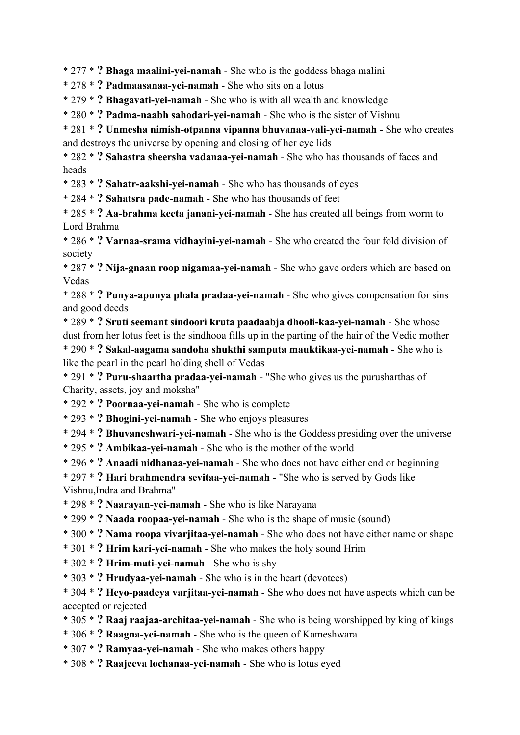\* 277 \* **? Bhaga maalini-yei-namah** - She who is the goddess bhaga malini

\* 278 \* **? Padmaasanaa-yei-namah** - She who sits on a lotus

\* 279 \* **? Bhagavati-yei-namah** - She who is with all wealth and knowledge

\* 280 \* **? Padma-naabh sahodari-yei-namah** - She who is the sister of Vishnu

\* 281 \* **? Unmesha nimish-otpanna vipanna bhuvanaa-vali-yei-namah** - She who creates and destroys the universe by opening and closing of her eye lids

\* 282 \* **? Sahastra sheersha vadanaa-yei-namah** - She who has thousands of faces and heads

\* 283 \* **? Sahatr-aakshi-yei-namah** - She who has thousands of eyes

\* 284 \* **? Sahatsra pade-namah** - She who has thousands of feet

\* 285 \* **? Aa-brahma keeta janani-yei-namah** - She has created all beings from worm to Lord Brahma

\* 286 \* **? Varnaa-srama vidhayini-yei-namah** - She who created the four fold division of society

\* 287 \* **? Nija-gnaan roop nigamaa-yei-namah** - She who gave orders which are based on Vedas

\* 288 \* **? Punya-apunya phala pradaa-yei-namah** - She who gives compensation for sins and good deeds

\* 289 \* **? Sruti seemant sindoori kruta paadaabja dhooli-kaa-yei-namah** - She whose dust from her lotus feet is the sindhooa fills up in the parting of the hair of the Vedic mother \* 290 \* **? Sakal-aagama sandoha shukthi samputa mauktikaa-yei-namah** - She who is like the pearl in the pearl holding shell of Vedas

\* 291 \* **? Puru-shaartha pradaa-yei-namah** - "She who gives us the purusharthas of Charity, assets, joy and moksha"

\* 292 \* **? Poornaa-yei-namah** - She who is complete

\* 293 \* **? Bhogini-yei-namah** - She who enjoys pleasures

\* 294 \* **? Bhuvaneshwari-yei-namah** - She who is the Goddess presiding over the universe

\* 295 \* **? Ambikaa-yei-namah** - She who is the mother of the world

\* 296 \* **? Anaadi nidhanaa-yei-namah** - She who does not have either end or beginning

\* 297 \* **? Hari brahmendra sevitaa-yei-namah** - "She who is served by Gods like

Vishnu,Indra and Brahma"

\* 298 \* **? Naarayan-yei-namah** - She who is like Narayana

\* 299 \* **? Naada roopaa-yei-namah** - She who is the shape of music (sound)

\* 300 \* **? Nama roopa vivarjitaa-yei-namah** - She who does not have either name or shape

\* 301 \* **? Hrim kari-yei-namah** - She who makes the holy sound Hrim

\* 302 \* **? Hrim-mati-yei-namah** - She who is shy

\* 303 \* **? Hrudyaa-yei-namah** - She who is in the heart (devotees)

\* 304 \* **? Heyo-paadeya varjitaa-yei-namah** - She who does not have aspects which can be accepted or rejected

\* 305 \* **? Raaj raajaa-architaa-yei-namah** - She who is being worshipped by king of kings

\* 306 \* **? Raagna-yei-namah** - She who is the queen of Kameshwara

\* 307 \* **? Ramyaa-yei-namah** - She who makes others happy

\* 308 \* **? Raajeeva lochanaa-yei-namah** - She who is lotus eyed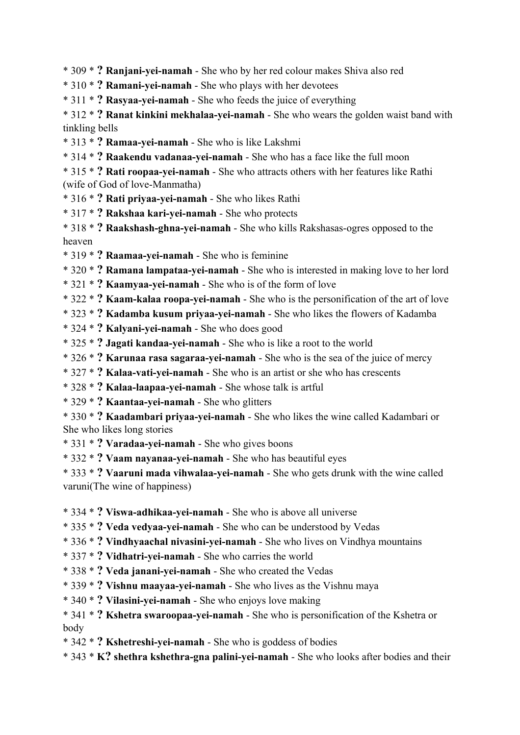\* 309 \* **? Ranjani-yei-namah** - She who by her red colour makes Shiva also red

\* 310 \* **? Ramani-yei-namah** - She who plays with her devotees

\* 311 \* **? Rasyaa-yei-namah** - She who feeds the juice of everything

\* 312 \* **? Ranat kinkini mekhalaa-yei-namah** - She who wears the golden waist band with tinkling bells

- \* 313 \* **? Ramaa-yei-namah** She who is like Lakshmi
- \* 314 \* **? Raakendu vadanaa-yei-namah** She who has a face like the full moon
- \* 315 \* **? Rati roopaa-yei-namah** She who attracts others with her features like Rathi (wife of God of love-Manmatha)
- \* 316 \* **? Rati priyaa-yei-namah** She who likes Rathi
- \* 317 \* **? Rakshaa kari-yei-namah** She who protects
- \* 318 \* **? Raakshash-ghna-yei-namah** She who kills Rakshasas-ogres opposed to the heaven
- \* 319 \* **? Raamaa-yei-namah** She who is feminine
- \* 320 \* **? Ramana lampataa-yei-namah** She who is interested in making love to her lord
- \* 321 \* **? Kaamyaa-yei-namah** She who is of the form of love
- \* 322 \* **? Kaam-kalaa roopa-yei-namah** She who is the personification of the art of love
- \* 323 \* **? Kadamba kusum priyaa-yei-namah** She who likes the flowers of Kadamba
- \* 324 \* **? Kalyani-yei-namah** She who does good
- \* 325 \* **? Jagati kandaa-yei-namah** She who is like a root to the world
- \* 326 \* **? Karunaa rasa sagaraa-yei-namah** She who is the sea of the juice of mercy
- \* 327 \* **? Kalaa-vati-yei-namah** She who is an artist or she who has crescents
- \* 328 \* **? Kalaa-laapaa-yei-namah** She whose talk is artful
- \* 329 \* **? Kaantaa-yei-namah** She who glitters
- \* 330 \* **? Kaadambari priyaa-yei-namah** She who likes the wine called Kadambari or She who likes long stories
- \* 331 \* **? Varadaa-yei-namah** She who gives boons
- \* 332 \* **? Vaam nayanaa-yei-namah** She who has beautiful eyes

\* 333 \* **? Vaaruni mada vihwalaa-yei-namah** - She who gets drunk with the wine called varuni(The wine of happiness)

- \* 334 \* **? Viswa-adhikaa-yei-namah** She who is above all universe
- \* 335 \* **? Veda vedyaa-yei-namah** She who can be understood by Vedas
- \* 336 \* **? Vindhyaachal nivasini-yei-namah** She who lives on Vindhya mountains
- \* 337 \* **? Vidhatri-yei-namah** She who carries the world
- \* 338 \* **? Veda janani-yei-namah** She who created the Vedas
- \* 339 \* **? Vishnu maayaa-yei-namah** She who lives as the Vishnu maya
- \* 340 \* **? Vilasini-yei-namah** She who enjoys love making
- \* 341 \* **? Kshetra swaroopaa-yei-namah** She who is personification of the Kshetra or body
- \* 342 \* **? Kshetreshi-yei-namah** She who is goddess of bodies
- \* 343 \* **K? shethra kshethra-gna palini-yei-namah** She who looks after bodies and their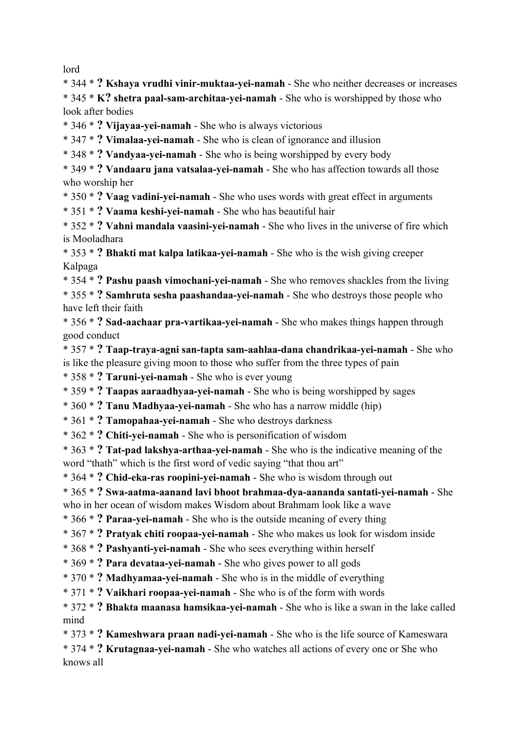lord

\* 344 \* **? Kshaya vrudhi vinir-muktaa-yei-namah** - She who neither decreases or increases \* 345 \* **K? shetra paal-sam-architaa-yei-namah** - She who is worshipped by those who look after bodies

\* 346 \* **? Vijayaa-yei-namah** - She who is always victorious

\* 347 \* **? Vimalaa-yei-namah** - She who is clean of ignorance and illusion

\* 348 \* **? Vandyaa-yei-namah** - She who is being worshipped by every body

\* 349 \* **? Vandaaru jana vatsalaa-yei-namah** - She who has affection towards all those who worship her

\* 350 \* **? Vaag vadini-yei-namah** - She who uses words with great effect in arguments

\* 351 \* **? Vaama keshi-yei-namah** - She who has beautiful hair

\* 352 \* **? Vahni mandala vaasini-yei-namah** - She who lives in the universe of fire which is Mooladhara

\* 353 \* **? Bhakti mat kalpa latikaa-yei-namah** - She who is the wish giving creeper Kalpaga

\* 354 \* **? Pashu paash vimochani-yei-namah** - She who removes shackles from the living \* 355 \* **? Samhruta sesha paashandaa-yei-namah** - She who destroys those people who have left their faith

\* 356 \* **? Sad-aachaar pra-vartikaa-yei-namah** - She who makes things happen through good conduct

\* 357 \* **? Taap-traya-agni san-tapta sam-aahlaa-dana chandrikaa-yei-namah** - She who is like the pleasure giving moon to those who suffer from the three types of pain

\* 358 \* **? Taruni-yei-namah** - She who is ever young

\* 359 \* **? Taapas aaraadhyaa-yei-namah** - She who is being worshipped by sages

\* 360 \* **? Tanu Madhyaa-yei-namah** - She who has a narrow middle (hip)

\* 361 \* **? Tamopahaa-yei-namah** - She who destroys darkness

\* 362 \* **? Chiti-yei-namah** - She who is personification of wisdom

\* 363 \* **? Tat-pad lakshya-arthaa-yei-namah** - She who is the indicative meaning of the word "thath" which is the first word of vedic saying "that thou art"

\* 364 \* **? Chid-eka-ras roopini-yei-namah** - She who is wisdom through out

\* 365 \* **? Swa-aatma-aanand lavi bhoot brahmaa-dya-aananda santati-yei-namah** - She

who in her ocean of wisdom makes Wisdom about Brahmam look like a wave

\* 366 \* **? Paraa-yei-namah** - She who is the outside meaning of every thing

\* 367 \* **? Pratyak chiti roopaa-yei-namah** - She who makes us look for wisdom inside

\* 368 \* **? Pashyanti-yei-namah** - She who sees everything within herself

\* 369 \* **? Para devataa-yei-namah** - She who gives power to all gods

\* 370 \* **? Madhyamaa-yei-namah** - She who is in the middle of everything

\* 371 \* **? Vaikhari roopaa-yei-namah** - She who is of the form with words

\* 372 \* **? Bhakta maanasa hamsikaa-yei-namah** - She who is like a swan in the lake called mind

\* 373 \* **? Kameshwara praan nadi-yei-namah** - She who is the life source of Kameswara

\* 374 \* **? Krutagnaa-yei-namah** - She who watches all actions of every one or She who knows all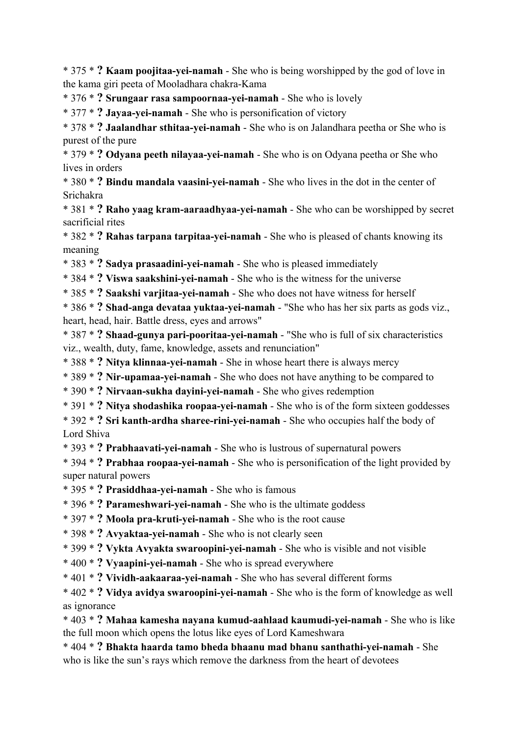\* 375 \* **? Kaam poojitaa-yei-namah** - She who is being worshipped by the god of love in the kama giri peeta of Mooladhara chakra-Kama

\* 376 \* **? Srungaar rasa sampoornaa-yei-namah** - She who is lovely

\* 377 \* **? Jayaa-yei-namah** - She who is personification of victory

\* 378 \* **? Jaalandhar sthitaa-yei-namah** - She who is on Jalandhara peetha or She who is purest of the pure

\* 379 \* **? Odyana peeth nilayaa-yei-namah** - She who is on Odyana peetha or She who lives in orders

\* 380 \* **? Bindu mandala vaasini-yei-namah** - She who lives in the dot in the center of Srichakra

\* 381 \* **? Raho yaag kram-aaraadhyaa-yei-namah** - She who can be worshipped by secret sacrificial rites

\* 382 \* **? Rahas tarpana tarpitaa-yei-namah** - She who is pleased of chants knowing its meaning

\* 383 \* **? Sadya prasaadini-yei-namah** - She who is pleased immediately

\* 384 \* **? Viswa saakshini-yei-namah** - She who is the witness for the universe

\* 385 \* **? Saakshi varjitaa-yei-namah** - She who does not have witness for herself

\* 386 \* **? Shad-anga devataa yuktaa-yei-namah** - "She who has her six parts as gods viz., heart, head, hair. Battle dress, eyes and arrows"

\* 387 \* **? Shaad-gunya pari-pooritaa-yei-namah** - "She who is full of six characteristics viz., wealth, duty, fame, knowledge, assets and renunciation"

\* 388 \* **? Nitya klinnaa-yei-namah** - She in whose heart there is always mercy

\* 389 \* **? Nir-upamaa-yei-namah** - She who does not have anything to be compared to

\* 390 \* **? Nirvaan-sukha dayini-yei-namah** - She who gives redemption

\* 391 \* **? Nitya shodashika roopaa-yei-namah** - She who is of the form sixteen goddesses

\* 392 \* **? Sri kanth-ardha sharee-rini-yei-namah** - She who occupies half the body of Lord Shiva

\* 393 \* **? Prabhaavati-yei-namah** - She who is lustrous of supernatural powers

\* 394 \* **? Prabhaa roopaa-yei-namah** - She who is personification of the light provided by super natural powers

\* 395 \* **? Prasiddhaa-yei-namah** - She who is famous

\* 396 \* **? Parameshwari-yei-namah** - She who is the ultimate goddess

\* 397 \* **? Moola pra-kruti-yei-namah** - She who is the root cause

\* 398 \* **? Avyaktaa-yei-namah** - She who is not clearly seen

\* 399 \* **? Vykta Avyakta swaroopini-yei-namah** - She who is visible and not visible

\* 400 \* **? Vyaapini-yei-namah** - She who is spread everywhere

\* 401 \* **? Vividh-aakaaraa-yei-namah** - She who has several different forms

\* 402 \* **? Vidya avidya swaroopini-yei-namah** - She who is the form of knowledge as well as ignorance

\* 403 \* **? Mahaa kamesha nayana kumud-aahlaad kaumudi-yei-namah** - She who is like the full moon which opens the lotus like eyes of Lord Kameshwara

\* 404 \* **? Bhakta haarda tamo bheda bhaanu mad bhanu santhathi-yei-namah** - She who is like the sun's rays which remove the darkness from the heart of devotees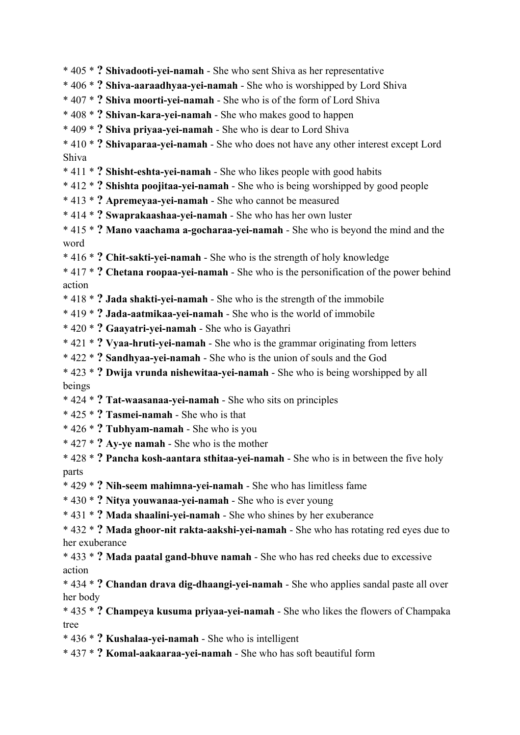\* 405 \* **? Shivadooti-yei-namah** - She who sent Shiva as her representative

\* 406 \* **? Shiva-aaraadhyaa-yei-namah** - She who is worshipped by Lord Shiva

- \* 407 \* **? Shiva moorti-yei-namah** She who is of the form of Lord Shiva
- \* 408 \* **? Shivan-kara-yei-namah** She who makes good to happen
- \* 409 \* **? Shiva priyaa-yei-namah** She who is dear to Lord Shiva
- \* 410 \* **? Shivaparaa-yei-namah** She who does not have any other interest except Lord Shiva
- \* 411 \* **? Shisht-eshta-yei-namah** She who likes people with good habits
- \* 412 \* **? Shishta poojitaa-yei-namah** She who is being worshipped by good people
- \* 413 \* **? Apremeyaa-yei-namah** She who cannot be measured
- \* 414 \* **? Swaprakaashaa-yei-namah** She who has her own luster
- \* 415 \* **? Mano vaachama a-gocharaa-yei-namah** She who is beyond the mind and the word
- \* 416 \* **? Chit-sakti-yei-namah** She who is the strength of holy knowledge

\* 417 \* **? Chetana roopaa-yei-namah** - She who is the personification of the power behind action

- \* 418 \* **? Jada shakti-yei-namah** She who is the strength of the immobile
- \* 419 \* **? Jada-aatmikaa-yei-namah** She who is the world of immobile
- \* 420 \* **? Gaayatri-yei-namah** She who is Gayathri
- \* 421 \* **? Vyaa-hruti-yei-namah** She who is the grammar originating from letters
- \* 422 \* **? Sandhyaa-yei-namah** She who is the union of souls and the God
- \* 423 \* **? Dwija vrunda nishewitaa-yei-namah** She who is being worshipped by all beings
- \* 424 \* **? Tat-waasanaa-yei-namah** She who sits on principles
- \* 425 \* **? Tasmei-namah** She who is that
- \* 426 \* **? Tubhyam-namah** She who is you
- \* 427 \* **? Ay-ye namah** She who is the mother
- \* 428 \* **? Pancha kosh-aantara sthitaa-yei-namah** She who is in between the five holy parts
- \* 429 \* **? Nih-seem mahimna-yei-namah** She who has limitless fame
- \* 430 \* **? Nitya youwanaa-yei-namah** She who is ever young
- \* 431 \* **? Mada shaalini-yei-namah** She who shines by her exuberance
- \* 432 \* **? Mada ghoor-nit rakta-aakshi-yei-namah** She who has rotating red eyes due to her exuberance
- \* 433 \* **? Mada paatal gand-bhuve namah** She who has red cheeks due to excessive action
- \* 434 \* **? Chandan drava dig-dhaangi-yei-namah** She who applies sandal paste all over her body
- \* 435 \* **? Champeya kusuma priyaa-yei-namah** She who likes the flowers of Champaka tree
- \* 436 \* **? Kushalaa-yei-namah** She who is intelligent
- \* 437 \* **? Komal-aakaaraa-yei-namah** She who has soft beautiful form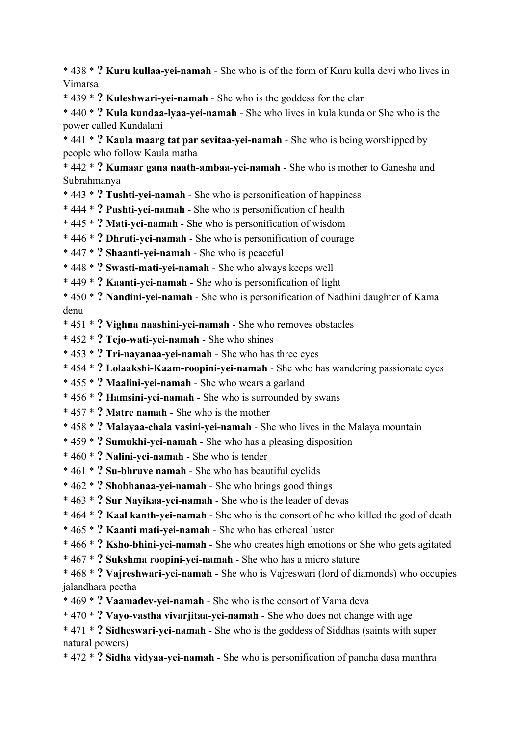\* 438 \* **? Kuru kullaa-yei-namah** - She who is of the form of Kuru kulla devi who lives in Vimarsa

\* 439 \* **? Kuleshwari-yei-namah** - She who is the goddess for the clan

\* 440 \* **? Kula kundaa-lyaa-yei-namah** - She who lives in kula kunda or She who is the power called Kundalani

\* 441 \* **? Kaula maarg tat par sevitaa-yei-namah** - She who is being worshipped by people who follow Kaula matha

\* 442 \* **? Kumaar gana naath-ambaa-yei-namah** - She who is mother to Ganesha and Subrahmanya

\* 443 \* **? Tushti-yei-namah** - She who is personification of happiness

\* 444 \* **? Pushti-yei-namah** - She who is personification of health

\* 445 \* **? Mati-yei-namah** - She who is personification of wisdom

\* 446 \* **? Dhruti-yei-namah** - She who is personification of courage

\* 447 \* **? Shaanti-yei-namah** - She who is peaceful

\* 448 \* **? Swasti-mati-yei-namah** - She who always keeps well

\* 449 \* **? Kaanti-yei-namah** - She who is personification of light

\* 450 \* **? Nandini-yei-namah** - She who is personification of Nadhini daughter of Kama denu

\* 451 \* **? Vighna naashini-yei-namah** - She who removes obstacles

- \* 452 \* **? Tejo-wati-yei-namah** She who shines
- \* 453 \* **? Tri-nayanaa-yei-namah** She who has three eyes
- \* 454 \* **? Lolaakshi-Kaam-roopini-yei-namah** She who has wandering passionate eyes

\* 455 \* **? Maalini-yei-namah** - She who wears a garland

- \* 456 \* **? Hamsini-yei-namah** She who is surrounded by swans
- \* 457 \* **? Matre namah** She who is the mother
- \* 458 \* **? Malayaa-chala vasini-yei-namah** She who lives in the Malaya mountain
- \* 459 \* **? Sumukhi-yei-namah** She who has a pleasing disposition
- \* 460 \* **? Nalini-yei-namah** She who is tender
- \* 461 \* **? Su-bhruve namah** She who has beautiful eyelids
- \* 462 \* **? Shobhanaa-yei-namah** She who brings good things
- \* 463 \* **? Sur Nayikaa-yei-namah** She who is the leader of devas

\* 464 \* **? Kaal kanth-yei-namah** - She who is the consort of he who killed the god of death

\* 465 \* **? Kaanti mati-yei-namah** - She who has ethereal luster

\* 466 \* **? Ksho-bhini-yei-namah** - She who creates high emotions or She who gets agitated

\* 467 \* **? Sukshma roopini-yei-namah** - She who has a micro stature

\* 468 \* **? Vajreshwari-yei-namah** - She who is Vajreswari (lord of diamonds) who occupies jalandhara peetha

- \* 469 \* **? Vaamadev-yei-namah** She who is the consort of Vama deva
- \* 470 \* **? Vayo-vastha vivarjitaa-yei-namah** She who does not change with age

\* 471 \* **? Sidheswari-yei-namah** - She who is the goddess of Siddhas (saints with super natural powers)

\* 472 \* **? Sidha vidyaa-yei-namah** - She who is personification of pancha dasa manthra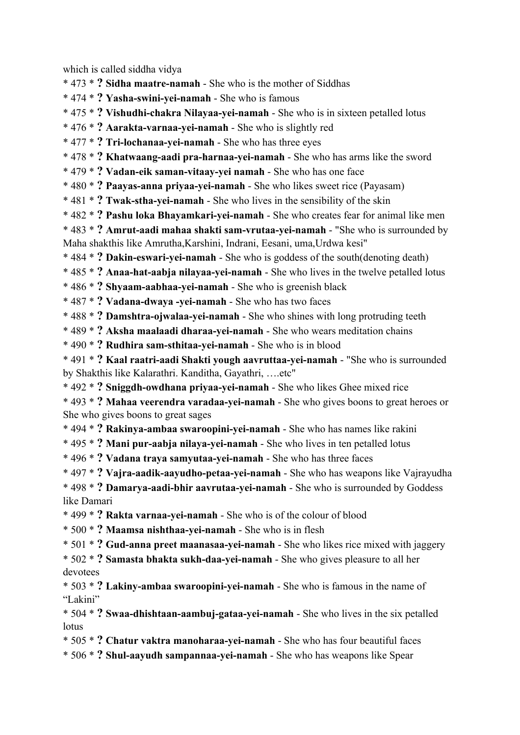which is called siddha vidya

\* 473 \* **? Sidha maatre-namah** - She who is the mother of Siddhas

\* 474 \* **? Yasha-swini-yei-namah** - She who is famous

\* 475 \* **? Vishudhi-chakra Nilayaa-yei-namah** - She who is in sixteen petalled lotus

\* 476 \* **? Aarakta-varnaa-yei-namah** - She who is slightly red

\* 477 \* **? Tri-lochanaa-yei-namah** - She who has three eyes

\* 478 \* **? Khatwaang-aadi pra-harnaa-yei-namah** - She who has arms like the sword

\* 479 \* **? Vadan-eik saman-vitaay-yei namah** - She who has one face

\* 480 \* **? Paayas-anna priyaa-yei-namah** - She who likes sweet rice (Payasam)

\* 481 \* **? Twak-stha-yei-namah** - She who lives in the sensibility of the skin

\* 482 \* **? Pashu loka Bhayamkari-yei-namah** - She who creates fear for animal like men

\* 483 \* **? Amrut-aadi mahaa shakti sam-vrutaa-yei-namah** - "She who is surrounded by Maha shakthis like Amrutha,Karshini, Indrani, Eesani, uma,Urdwa kesi"

\* 484 \* **? Dakin-eswari-yei-namah** - She who is goddess of the south(denoting death)

\* 485 \* **? Anaa-hat-aabja nilayaa-yei-namah** - She who lives in the twelve petalled lotus

\* 486 \* **? Shyaam-aabhaa-yei-namah** - She who is greenish black

\* 487 \* **? Vadana-dwaya -yei-namah** - She who has two faces

\* 488 \* **? Damshtra-ojwalaa-yei-namah** - She who shines with long protruding teeth

\* 489 \* **? Aksha maalaadi dharaa-yei-namah** - She who wears meditation chains

\* 490 \* **? Rudhira sam-sthitaa-yei-namah** - She who is in blood

\* 491 \* **? Kaal raatri-aadi Shakti yough aavruttaa-yei-namah** - "She who is surrounded by Shakthis like Kalarathri. Kanditha, Gayathri, ….etc"

\* 492 \* **? Sniggdh-owdhana priyaa-yei-namah** - She who likes Ghee mixed rice

\* 493 \* **? Mahaa veerendra varadaa-yei-namah** - She who gives boons to great heroes or She who gives boons to great sages

\* 494 \* **? Rakinya-ambaa swaroopini-yei-namah** - She who has names like rakini

\* 495 \* **? Mani pur-aabja nilaya-yei-namah** - She who lives in ten petalled lotus

\* 496 \* **? Vadana traya samyutaa-yei-namah** - She who has three faces

\* 497 \* **? Vajra-aadik-aayudho-petaa-yei-namah** - She who has weapons like Vajrayudha

\* 498 \* **? Damarya-aadi-bhir aavrutaa-yei-namah** - She who is surrounded by Goddess like Damari

\* 499 \* **? Rakta varnaa-yei-namah** - She who is of the colour of blood

\* 500 \* **? Maamsa nishthaa-yei-namah** - She who is in flesh

\* 501 \* **? Gud-anna preet maanasaa-yei-namah** - She who likes rice mixed with jaggery

\* 502 \* **? Samasta bhakta sukh-daa-yei-namah** - She who gives pleasure to all her devotees

\* 503 \* **? Lakiny-ambaa swaroopini-yei-namah** - She who is famous in the name of "Lakini"

\* 504 \* **? Swaa-dhishtaan-aambuj-gataa-yei-namah** - She who lives in the six petalled lotus

\* 505 \* **? Chatur vaktra manoharaa-yei-namah** - She who has four beautiful faces

\* 506 \* **? Shul-aayudh sampannaa-yei-namah** - She who has weapons like Spear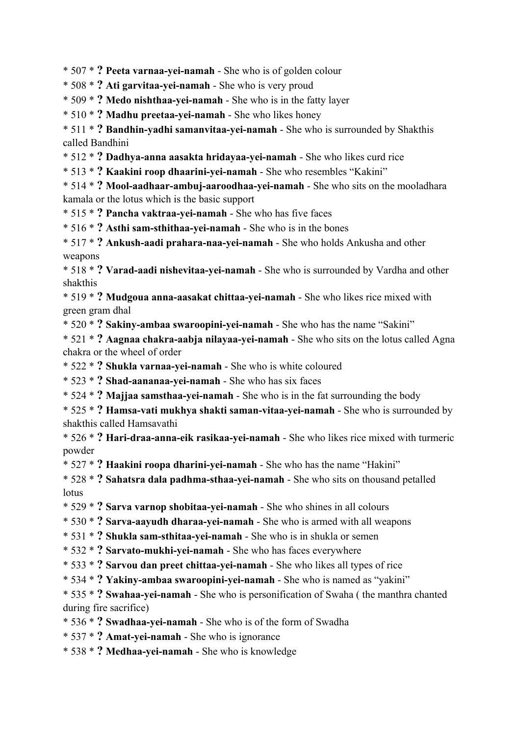\* 507 \* **? Peeta varnaa-yei-namah** - She who is of golden colour

\* 508 \* **? Ati garvitaa-yei-namah** - She who is very proud

\* 509 \* **? Medo nishthaa-yei-namah** - She who is in the fatty layer

\* 510 \* **? Madhu preetaa-yei-namah** - She who likes honey

\* 511 \* **? Bandhin-yadhi samanvitaa-yei-namah** - She who is surrounded by Shakthis called Bandhini

\* 512 \* **? Dadhya-anna aasakta hridayaa-yei-namah** - She who likes curd rice

\* 513 \* **? Kaakini roop dhaarini-yei-namah** - She who resembles "Kakini"

\* 514 \* **? Mool-aadhaar-ambuj-aaroodhaa-yei-namah** - She who sits on the mooladhara kamala or the lotus which is the basic support

\* 515 \* **? Pancha vaktraa-yei-namah** - She who has five faces

\* 516 \* **? Asthi sam-sthithaa-yei-namah** - She who is in the bones

\* 517 \* **? Ankush-aadi prahara-naa-yei-namah** - She who holds Ankusha and other weapons

\* 518 \* **? Varad-aadi nishevitaa-yei-namah** - She who is surrounded by Vardha and other shakthis

\* 519 \* **? Mudgoua anna-aasakat chittaa-yei-namah** - She who likes rice mixed with green gram dhal

\* 520 \* **? Sakiny-ambaa swaroopini-yei-namah** - She who has the name "Sakini"

\* 521 \* **? Aagnaa chakra-aabja nilayaa-yei-namah** - She who sits on the lotus called Agna chakra or the wheel of order

\* 522 \* **? Shukla varnaa-yei-namah** - She who is white coloured

\* 523 \* **? Shad-aananaa-yei-namah** - She who has six faces

\* 524 \* **? Majjaa samsthaa-yei-namah** - She who is in the fat surrounding the body

\* 525 \* **? Hamsa-vati mukhya shakti saman-vitaa-yei-namah** - She who is surrounded by shakthis called Hamsavathi

\* 526 \* **? Hari-draa-anna-eik rasikaa-yei-namah** - She who likes rice mixed with turmeric powder

\* 527 \* **? Haakini roopa dharini-yei-namah** - She who has the name "Hakini"

\* 528 \* **? Sahatsra dala padhma-sthaa-yei-namah** - She who sits on thousand petalled lotus

\* 529 \* **? Sarva varnop shobitaa-yei-namah** - She who shines in all colours

\* 530 \* **? Sarva-aayudh dharaa-yei-namah** - She who is armed with all weapons

\* 531 \* **? Shukla sam-sthitaa-yei-namah** - She who is in shukla or semen

\* 532 \* **? Sarvato-mukhi-yei-namah** - She who has faces everywhere

\* 533 \* **? Sarvou dan preet chittaa-yei-namah** - She who likes all types of rice

\* 534 \* **? Yakiny-ambaa swaroopini-yei-namah** - She who is named as "yakini"

\* 535 \* **? Swahaa-yei-namah** - She who is personification of Swaha ( the manthra chanted during fire sacrifice)

\* 536 \* **? Swadhaa-yei-namah** - She who is of the form of Swadha

\* 537 \* **? Amat-yei-namah** - She who is ignorance

\* 538 \* **? Medhaa-yei-namah** - She who is knowledge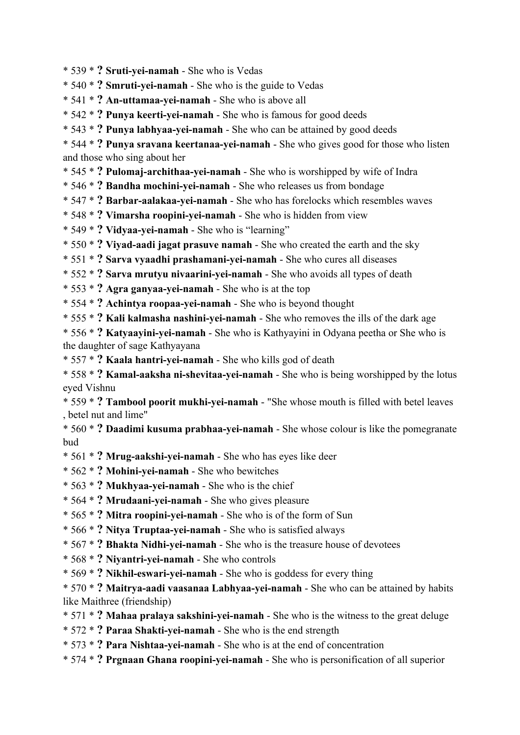\* 539 \* **? Sruti-yei-namah** - She who is Vedas

\* 540 \* **? Smruti-yei-namah** - She who is the guide to Vedas

\* 541 \* **? An-uttamaa-yei-namah** - She who is above all

\* 542 \* **? Punya keerti-yei-namah** - She who is famous for good deeds

\* 543 \* **? Punya labhyaa-yei-namah** - She who can be attained by good deeds

\* 544 \* **? Punya sravana keertanaa-yei-namah** - She who gives good for those who listen and those who sing about her

\* 545 \* **? Pulomaj-archithaa-yei-namah** - She who is worshipped by wife of Indra

\* 546 \* **? Bandha mochini-yei-namah** - She who releases us from bondage

\* 547 \* **? Barbar-aalakaa-yei-namah** - She who has forelocks which resembles waves

\* 548 \* **? Vimarsha roopini-yei-namah** - She who is hidden from view

\* 549 \* **? Vidyaa-yei-namah** - She who is "learning"

\* 550 \* **? Viyad-aadi jagat prasuve namah** - She who created the earth and the sky

\* 551 \* **? Sarva vyaadhi prashamani-yei-namah** - She who cures all diseases

\* 552 \* **? Sarva mrutyu nivaarini-yei-namah** - She who avoids all types of death

\* 553 \* **? Agra ganyaa-yei-namah** - She who is at the top

\* 554 \* **? Achintya roopaa-yei-namah** - She who is beyond thought

\* 555 \* **? Kali kalmasha nashini-yei-namah** - She who removes the ills of the dark age

\* 556 \* **? Katyaayini-yei-namah** - She who is Kathyayini in Odyana peetha or She who is the daughter of sage Kathyayana

\* 557 \* **? Kaala hantri-yei-namah** - She who kills god of death

\* 558 \* **? Kamal-aaksha ni-shevitaa-yei-namah** - She who is being worshipped by the lotus eyed Vishnu

\* 559 \* **? Tambool poorit mukhi-yei-namah** - "She whose mouth is filled with betel leaves , betel nut and lime"

\* 560 \* **? Daadimi kusuma prabhaa-yei-namah** - She whose colour is like the pomegranate bud

- \* 561 \* **? Mrug-aakshi-yei-namah** She who has eyes like deer
- \* 562 \* **? Mohini-yei-namah** She who bewitches
- \* 563 \* **? Mukhyaa-yei-namah** She who is the chief
- \* 564 \* **? Mrudaani-yei-namah** She who gives pleasure
- \* 565 \* **? Mitra roopini-yei-namah** She who is of the form of Sun
- \* 566 \* **? Nitya Truptaa-yei-namah** She who is satisfied always
- \* 567 \* **? Bhakta Nidhi-yei-namah** She who is the treasure house of devotees
- \* 568 \* **? Niyantri-yei-namah** She who controls
- \* 569 \* **? Nikhil-eswari-yei-namah** She who is goddess for every thing

\* 570 \* **? Maitrya-aadi vaasanaa Labhyaa-yei-namah** - She who can be attained by habits like Maithree (friendship)

- \* 571 \* **? Mahaa pralaya sakshini-yei-namah** She who is the witness to the great deluge
- \* 572 \* **? Paraa Shakti-yei-namah** She who is the end strength
- \* 573 \* **? Para Nishtaa-yei-namah** She who is at the end of concentration
- \* 574 \* **? Prgnaan Ghana roopini-yei-namah** She who is personification of all superior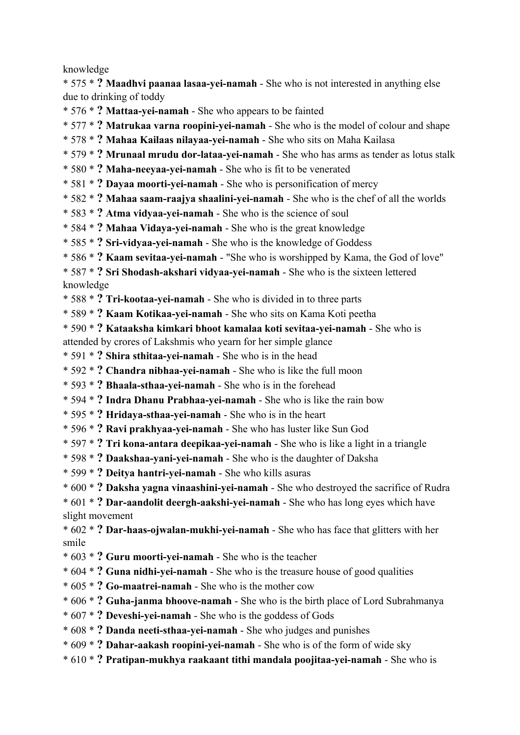knowledge

\* 575 \* **? Maadhvi paanaa lasaa-yei-namah** - She who is not interested in anything else due to drinking of toddy

\* 576 \* **? Mattaa-yei-namah** - She who appears to be fainted

\* 577 \* **? Matrukaa varna roopini-yei-namah** - She who is the model of colour and shape

- \* 578 \* **? Mahaa Kailaas nilayaa-yei-namah** She who sits on Maha Kailasa
- \* 579 \* **? Mrunaal mrudu dor-lataa-yei-namah** She who has arms as tender as lotus stalk
- \* 580 \* **? Maha-neeyaa-yei-namah** She who is fit to be venerated
- \* 581 \* **? Dayaa moorti-yei-namah** She who is personification of mercy
- \* 582 \* **? Mahaa saam-raajya shaalini-yei-namah** She who is the chef of all the worlds
- \* 583 \* **? Atma vidyaa-yei-namah** She who is the science of soul
- \* 584 \* **? Mahaa Vidaya-yei-namah** She who is the great knowledge
- \* 585 \* **? Sri-vidyaa-yei-namah** She who is the knowledge of Goddess
- \* 586 \* **? Kaam sevitaa-yei-namah** "She who is worshipped by Kama, the God of love"

\* 587 \* **? Sri Shodash-akshari vidyaa-yei-namah** - She who is the sixteen lettered knowledge

- \* 588 \* **? Tri-kootaa-yei-namah** She who is divided in to three parts
- \* 589 \* **? Kaam Kotikaa-yei-namah** She who sits on Kama Koti peetha
- \* 590 \* **? Kataaksha kimkari bhoot kamalaa koti sevitaa-yei-namah** She who is attended by crores of Lakshmis who yearn for her simple glance
- \* 591 \* **? Shira sthitaa-yei-namah** She who is in the head
- \* 592 \* **? Chandra nibhaa-yei-namah** She who is like the full moon
- \* 593 \* **? Bhaala-sthaa-yei-namah** She who is in the forehead
- \* 594 \* **? Indra Dhanu Prabhaa-yei-namah** She who is like the rain bow
- \* 595 \* **? Hridaya-sthaa-yei-namah** She who is in the heart
- \* 596 \* **? Ravi prakhyaa-yei-namah** She who has luster like Sun God
- \* 597 \* **? Tri kona-antara deepikaa-yei-namah** She who is like a light in a triangle
- \* 598 \* **? Daakshaa-yani-yei-namah** She who is the daughter of Daksha
- \* 599 \* **? Deitya hantri-yei-namah** She who kills asuras
- \* 600 \* **? Daksha yagna vinaashini-yei-namah** She who destroyed the sacrifice of Rudra
- \* 601 \* **? Dar-aandolit deergh-aakshi-yei-namah** She who has long eyes which have slight movement

\* 602 \* **? Dar-haas-ojwalan-mukhi-yei-namah** - She who has face that glitters with her smile

- \* 603 \* **? Guru moorti-yei-namah** She who is the teacher
- \* 604 \* **? Guna nidhi-yei-namah** She who is the treasure house of good qualities
- \* 605 \* **? Go-maatrei-namah** She who is the mother cow
- \* 606 \* **? Guha-janma bhoove-namah** She who is the birth place of Lord Subrahmanya
- \* 607 \* **? Deveshi-yei-namah** She who is the goddess of Gods
- \* 608 \* **? Danda neeti-sthaa-yei-namah** She who judges and punishes
- \* 609 \* **? Dahar-aakash roopini-yei-namah** She who is of the form of wide sky
- \* 610 \* **? Pratipan-mukhya raakaant tithi mandala poojitaa-yei-namah** She who is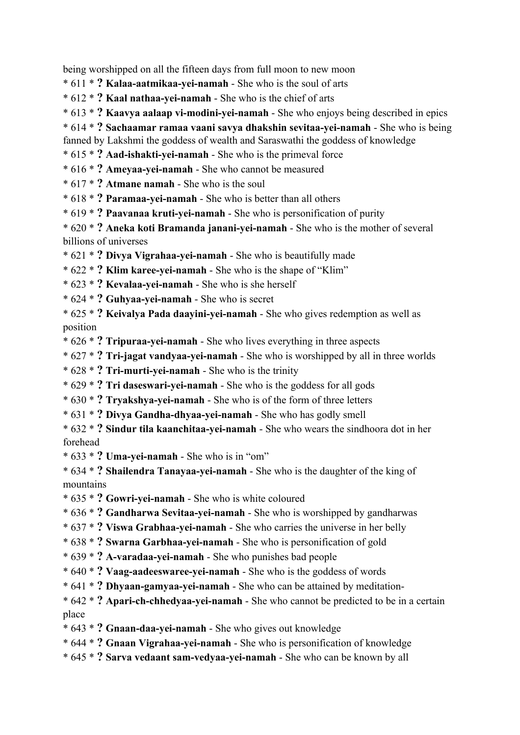being worshipped on all the fifteen days from full moon to new moon

- \* 611 \* **? Kalaa-aatmikaa-yei-namah** She who is the soul of arts
- \* 612 \* **? Kaal nathaa-yei-namah** She who is the chief of arts
- \* 613 \* **? Kaavya aalaap vi-modini-yei-namah** She who enjoys being described in epics
- \* 614 \* **? Sachaamar ramaa vaani savya dhakshin sevitaa-yei-namah** She who is being
- fanned by Lakshmi the goddess of wealth and Saraswathi the goddess of knowledge
- \* 615 \* **? Aad-ishakti-yei-namah** She who is the primeval force
- \* 616 \* **? Ameyaa-yei-namah** She who cannot be measured
- \* 617 \* **? Atmane namah** She who is the soul
- \* 618 \* **? Paramaa-yei-namah** She who is better than all others
- \* 619 \* **? Paavanaa kruti-yei-namah** She who is personification of purity
- \* 620 \* **? Aneka koti Bramanda janani-yei-namah** She who is the mother of several billions of universes
- \* 621 \* **? Divya Vigrahaa-yei-namah** She who is beautifully made
- \* 622 \* **? Klim karee-yei-namah** She who is the shape of "Klim"
- \* 623 \* **? Kevalaa-yei-namah** She who is she herself
- \* 624 \* **? Guhyaa-yei-namah** She who is secret
- \* 625 \* **? Keivalya Pada daayini-yei-namah** She who gives redemption as well as position
- \* 626 \* **? Tripuraa-yei-namah** She who lives everything in three aspects
- \* 627 \* **? Tri-jagat vandyaa-yei-namah** She who is worshipped by all in three worlds
- \* 628 \* **? Tri-murti-yei-namah** She who is the trinity
- \* 629 \* **? Tri daseswari-yei-namah** She who is the goddess for all gods
- \* 630 \* **? Tryakshya-yei-namah** She who is of the form of three letters
- \* 631 \* **? Divya Gandha-dhyaa-yei-namah** She who has godly smell
- \* 632 \* **? Sindur tila kaanchitaa-yei-namah** She who wears the sindhoora dot in her forehead
- \* 633 \* **? Uma-yei-namah** She who is in "om"
- \* 634 \* **? Shailendra Tanayaa-yei-namah** She who is the daughter of the king of mountains
- \* 635 \* **? Gowri-yei-namah** She who is white coloured
- \* 636 \* **? Gandharwa Sevitaa-yei-namah** She who is worshipped by gandharwas
- \* 637 \* **? Viswa Grabhaa-yei-namah** She who carries the universe in her belly
- \* 638 \* **? Swarna Garbhaa-yei-namah** She who is personification of gold
- \* 639 \* **? A-varadaa-yei-namah** She who punishes bad people
- \* 640 \* **? Vaag-aadeeswaree-yei-namah** She who is the goddess of words
- \* 641 \* **? Dhyaan-gamyaa-yei-namah** She who can be attained by meditation-
- \* 642 \* **? Apari-ch-chhedyaa-yei-namah** She who cannot be predicted to be in a certain place
- \* 643 \* **? Gnaan-daa-yei-namah** She who gives out knowledge
- \* 644 \* **? Gnaan Vigrahaa-yei-namah** She who is personification of knowledge
- \* 645 \* **? Sarva vedaant sam-vedyaa-yei-namah** She who can be known by all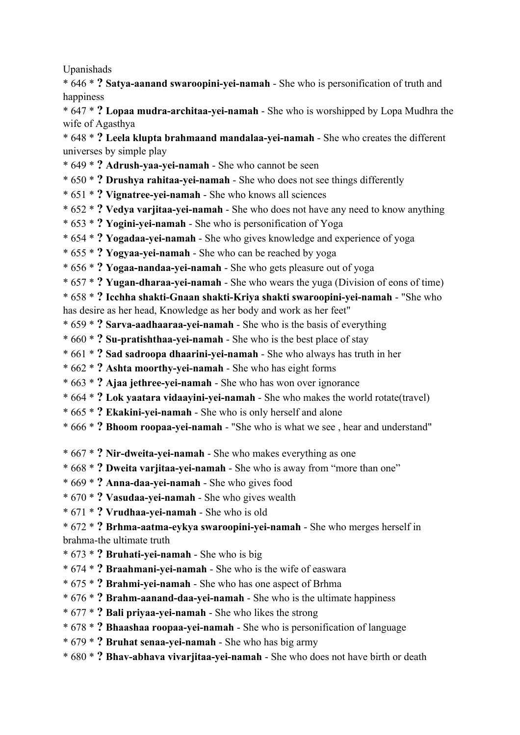Upanishads

\* 646 \* **? Satya-aanand swaroopini-yei-namah** - She who is personification of truth and happiness

\* 647 \* **? Lopaa mudra-architaa-yei-namah** - She who is worshipped by Lopa Mudhra the wife of Agasthya

\* 648 \* **? Leela klupta brahmaand mandalaa-yei-namah** - She who creates the different universes by simple play

- \* 649 \* **? Adrush-yaa-yei-namah** She who cannot be seen
- \* 650 \* **? Drushya rahitaa-yei-namah** She who does not see things differently
- \* 651 \* **? Vignatree-yei-namah** She who knows all sciences
- \* 652 \* **? Vedya varjitaa-yei-namah** She who does not have any need to know anything
- \* 653 \* **? Yogini-yei-namah** She who is personification of Yoga
- \* 654 \* **? Yogadaa-yei-namah** She who gives knowledge and experience of yoga
- \* 655 \* **? Yogyaa-yei-namah** She who can be reached by yoga
- \* 656 \* **? Yogaa-nandaa-yei-namah** She who gets pleasure out of yoga
- \* 657 \* **? Yugan-dharaa-yei-namah** She who wears the yuga (Division of eons of time)

\* 658 \* **? Icchha shakti-Gnaan shakti-Kriya shakti swaroopini-yei-namah** - "She who has desire as her head, Knowledge as her body and work as her feet"

- \* 659 \* **? Sarva-aadhaaraa-yei-namah** She who is the basis of everything
- \* 660 \* **? Su-pratishthaa-yei-namah** She who is the best place of stay
- \* 661 \* **? Sad sadroopa dhaarini-yei-namah** She who always has truth in her
- \* 662 \* **? Ashta moorthy-yei-namah** She who has eight forms
- \* 663 \* **? Ajaa jethree-yei-namah** She who has won over ignorance
- \* 664 \* **? Lok yaatara vidaayini-yei-namah** She who makes the world rotate(travel)
- \* 665 \* **? Ekakini-yei-namah** She who is only herself and alone
- \* 666 \* **? Bhoom roopaa-yei-namah** "She who is what we see , hear and understand"
- \* 667 \* **? Nir-dweita-yei-namah** She who makes everything as one
- \* 668 \* **? Dweita varjitaa-yei-namah** She who is away from "more than one"
- \* 669 \* **? Anna-daa-yei-namah** She who gives food
- \* 670 \* **? Vasudaa-yei-namah** She who gives wealth
- \* 671 \* **? Vrudhaa-yei-namah** She who is old

\* 672 \* **? Brhma-aatma-eykya swaroopini-yei-namah** - She who merges herself in brahma-the ultimate truth

- \* 673 \* **? Bruhati-yei-namah** She who is big
- \* 674 \* **? Braahmani-yei-namah** She who is the wife of easwara
- \* 675 \* **? Brahmi-yei-namah** She who has one aspect of Brhma
- \* 676 \* **? Brahm-aanand-daa-yei-namah** She who is the ultimate happiness
- \* 677 \* **? Bali priyaa-yei-namah** She who likes the strong
- \* 678 \* **? Bhaashaa roopaa-yei-namah** She who is personification of language
- \* 679 \* **? Bruhat senaa-yei-namah** She who has big army
- \* 680 \* **? Bhav-abhava vivarjitaa-yei-namah** She who does not have birth or death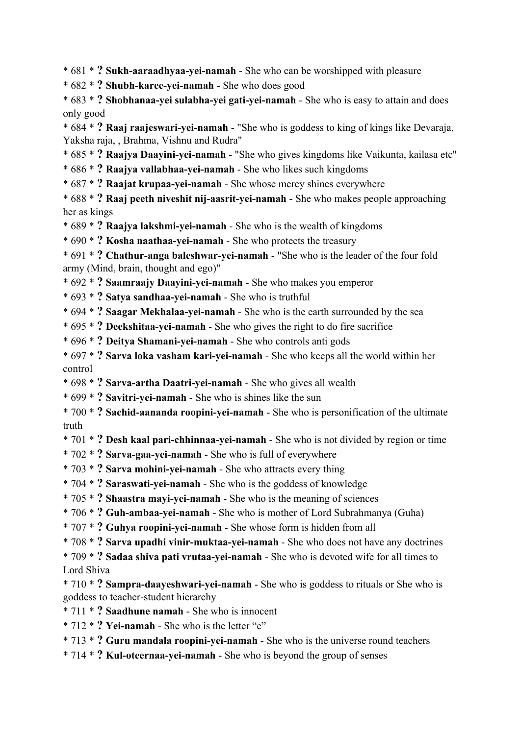\* 681 \* **? Sukh-aaraadhyaa-yei-namah** - She who can be worshipped with pleasure

- \* 682 \* **? Shubh-karee-yei-namah** She who does good
- \* 683 \* **? Shobhanaa-yei sulabha-yei gati-yei-namah** She who is easy to attain and does only good

\* 684 \* **? Raaj raajeswari-yei-namah** - "She who is goddess to king of kings like Devaraja, Yaksha raja, , Brahma, Vishnu and Rudra"

- \* 685 \* **? Raajya Daayini-yei-namah** "She who gives kingdoms like Vaikunta, kailasa etc"
- \* 686 \* **? Raajya vallabhaa-yei-namah** She who likes such kingdoms
- \* 687 \* **? Raajat krupaa-yei-namah** She whose mercy shines everywhere

\* 688 \* **? Raaj peeth niveshit nij-aasrit-yei-namah** - She who makes people approaching her as kings

- \* 689 \* **? Raajya lakshmi-yei-namah** She who is the wealth of kingdoms
- \* 690 \* **? Kosha naathaa-yei-namah** She who protects the treasury

\* 691 \* **? Chathur-anga baleshwar-yei-namah** - "She who is the leader of the four fold army (Mind, brain, thought and ego)"

\* 692 \* **? Saamraajy Daayini-yei-namah** - She who makes you emperor

- \* 693 \* **? Satya sandhaa-yei-namah** She who is truthful
- \* 694 \* **? Saagar Mekhalaa-yei-namah** She who is the earth surrounded by the sea
- \* 695 \* **? Deekshitaa-yei-namah** She who gives the right to do fire sacrifice
- \* 696 \* **? Deitya Shamani-yei-namah** She who controls anti gods
- \* 697 \* **? Sarva loka vasham kari-yei-namah** She who keeps all the world within her control
- \* 698 \* **? Sarva-artha Daatri-yei-namah** She who gives all wealth
- \* 699 \* **? Savitri-yei-namah** She who is shines like the sun
- \* 700 \* **? Sachid-aananda roopini-yei-namah** She who is personification of the ultimate truth
- \* 701 \* **? Desh kaal pari-chhinnaa-yei-namah** She who is not divided by region or time
- \* 702 \* **? Sarva-gaa-yei-namah** She who is full of everywhere
- \* 703 \* **? Sarva mohini-yei-namah** She who attracts every thing
- \* 704 \* **? Saraswati-yei-namah** She who is the goddess of knowledge
- \* 705 \* **? Shaastra mayi-yei-namah** She who is the meaning of sciences
- \* 706 \* **? Guh-ambaa-yei-namah** She who is mother of Lord Subrahmanya (Guha)
- \* 707 \* **? Guhya roopini-yei-namah** She whose form is hidden from all
- \* 708 \* **? Sarva upadhi vinir-muktaa-yei-namah** She who does not have any doctrines
- \* 709 \* **? Sadaa shiva pati vrutaa-yei-namah** She who is devoted wife for all times to Lord Shiva
- \* 710 \* **? Sampra-daayeshwari-yei-namah** She who is goddess to rituals or She who is goddess to teacher-student hierarchy
- \* 711 \* **? Saadhune namah** She who is innocent
- \* 712 \* **? Yei-namah** She who is the letter "e"
- \* 713 \* **? Guru mandala roopini-yei-namah** She who is the universe round teachers
- \* 714 \* **? Kul-oteernaa-yei-namah** She who is beyond the group of senses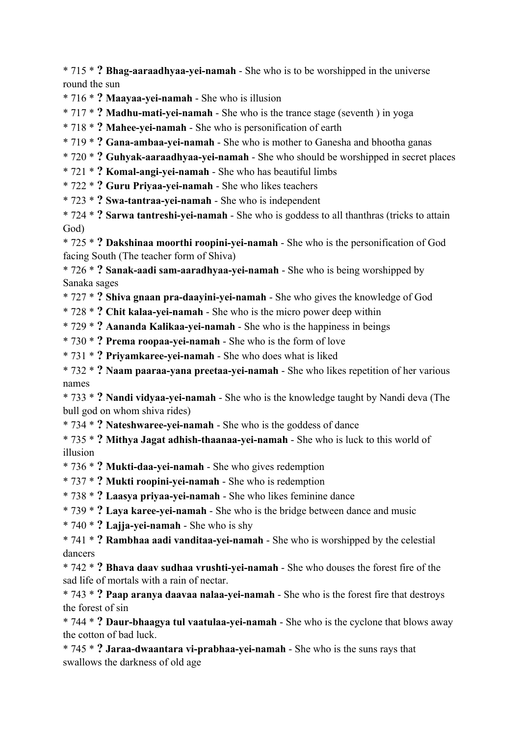\* 715 \* **? Bhag-aaraadhyaa-yei-namah** - She who is to be worshipped in the universe round the sun

\* 716 \* **? Maayaa-yei-namah** - She who is illusion

\* 717 \* **? Madhu-mati-yei-namah** - She who is the trance stage (seventh ) in yoga

\* 718 \* **? Mahee-yei-namah** - She who is personification of earth

\* 719 \* **? Gana-ambaa-yei-namah** - She who is mother to Ganesha and bhootha ganas

\* 720 \* **? Guhyak-aaraadhyaa-yei-namah** - She who should be worshipped in secret places

\* 721 \* **? Komal-angi-yei-namah** - She who has beautiful limbs

\* 722 \* **? Guru Priyaa-yei-namah** - She who likes teachers

\* 723 \* **? Swa-tantraa-yei-namah** - She who is independent

\* 724 \* **? Sarwa tantreshi-yei-namah** - She who is goddess to all thanthras (tricks to attain God)

\* 725 \* **? Dakshinaa moorthi roopini-yei-namah** - She who is the personification of God facing South (The teacher form of Shiva)

\* 726 \* **? Sanak-aadi sam-aaradhyaa-yei-namah** - She who is being worshipped by Sanaka sages

\* 727 \* **? Shiva gnaan pra-daayini-yei-namah** - She who gives the knowledge of God

\* 728 \* **? Chit kalaa-yei-namah** - She who is the micro power deep within

\* 729 \* **? Aananda Kalikaa-yei-namah** - She who is the happiness in beings

\* 730 \* **? Prema roopaa-yei-namah** - She who is the form of love

\* 731 \* **? Priyamkaree-yei-namah** - She who does what is liked

\* 732 \* **? Naam paaraa-yana preetaa-yei-namah** - She who likes repetition of her various names

\* 733 \* **? Nandi vidyaa-yei-namah** - She who is the knowledge taught by Nandi deva (The bull god on whom shiva rides)

\* 734 \* **? Nateshwaree-yei-namah** - She who is the goddess of dance

\* 735 \* **? Mithya Jagat adhish-thaanaa-yei-namah** - She who is luck to this world of illusion

\* 736 \* **? Mukti-daa-yei-namah** - She who gives redemption

\* 737 \* **? Mukti roopini-yei-namah** - She who is redemption

\* 738 \* **? Laasya priyaa-yei-namah** - She who likes feminine dance

\* 739 \* **? Laya karee-yei-namah** - She who is the bridge between dance and music

\* 740 \* **? Lajja-yei-namah** - She who is shy

\* 741 \* **? Rambhaa aadi vanditaa-yei-namah** - She who is worshipped by the celestial dancers

\* 742 \* **? Bhava daav sudhaa vrushti-yei-namah** - She who douses the forest fire of the sad life of mortals with a rain of nectar.

\* 743 \* **? Paap aranya daavaa nalaa-yei-namah** - She who is the forest fire that destroys the forest of sin

\* 744 \* **? Daur-bhaagya tul vaatulaa-yei-namah** - She who is the cyclone that blows away the cotton of bad luck.

\* 745 \* **? Jaraa-dwaantara vi-prabhaa-yei-namah** - She who is the suns rays that swallows the darkness of old age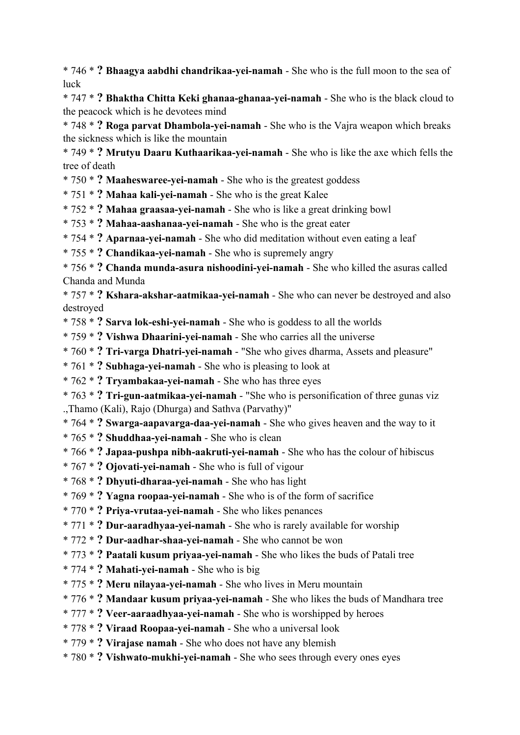\* 746 \* **? Bhaagya aabdhi chandrikaa-yei-namah** - She who is the full moon to the sea of luck

\* 747 \* **? Bhaktha Chitta Keki ghanaa-ghanaa-yei-namah** - She who is the black cloud to the peacock which is he devotees mind

\* 748 \* **? Roga parvat Dhambola-yei-namah** - She who is the Vajra weapon which breaks the sickness which is like the mountain

\* 749 \* **? Mrutyu Daaru Kuthaarikaa-yei-namah** - She who is like the axe which fells the tree of death

\* 750 \* **? Maaheswaree-yei-namah** - She who is the greatest goddess

\* 751 \* **? Mahaa kali-yei-namah** - She who is the great Kalee

\* 752 \* **? Mahaa graasaa-yei-namah** - She who is like a great drinking bowl

\* 753 \* **? Mahaa-aashanaa-yei-namah** - She who is the great eater

\* 754 \* **? Aparnaa-yei-namah** - She who did meditation without even eating a leaf

\* 755 \* **? Chandikaa-yei-namah** - She who is supremely angry

\* 756 \* **? Chanda munda-asura nishoodini-yei-namah** - She who killed the asuras called Chanda and Munda

\* 757 \* **? Kshara-akshar-aatmikaa-yei-namah** - She who can never be destroyed and also destroyed

- \* 758 \* **? Sarva lok-eshi-yei-namah** She who is goddess to all the worlds
- \* 759 \* **? Vishwa Dhaarini-yei-namah** She who carries all the universe
- \* 760 \* **? Tri-varga Dhatri-yei-namah** "She who gives dharma, Assets and pleasure"
- \* 761 \* **? Subhaga-yei-namah** She who is pleasing to look at
- \* 762 \* **? Tryambakaa-yei-namah** She who has three eyes

\* 763 \* **? Tri-gun-aatmikaa-yei-namah** - "She who is personification of three gunas viz .,Thamo (Kali), Rajo (Dhurga) and Sathva (Parvathy)"

\* 764 \* **? Swarga-aapavarga-daa-yei-namah** - She who gives heaven and the way to it

\* 765 \* **? Shuddhaa-yei-namah** - She who is clean

\* 766 \* **? Japaa-pushpa nibh-aakruti-yei-namah** - She who has the colour of hibiscus

- \* 767 \* **? Ojovati-yei-namah** She who is full of vigour
- \* 768 \* **? Dhyuti-dharaa-yei-namah** She who has light
- \* 769 \* **? Yagna roopaa-yei-namah** She who is of the form of sacrifice

\* 770 \* **? Priya-vrutaa-yei-namah** - She who likes penances

- \* 771 \* **? Dur-aaradhyaa-yei-namah** She who is rarely available for worship
- \* 772 \* **? Dur-aadhar-shaa-yei-namah** She who cannot be won
- \* 773 \* **? Paatali kusum priyaa-yei-namah** She who likes the buds of Patali tree
- \* 774 \* **? Mahati-yei-namah** She who is big
- \* 775 \* **? Meru nilayaa-yei-namah** She who lives in Meru mountain
- \* 776 \* **? Mandaar kusum priyaa-yei-namah** She who likes the buds of Mandhara tree
- \* 777 \* **? Veer-aaraadhyaa-yei-namah** She who is worshipped by heroes
- \* 778 \* **? Viraad Roopaa-yei-namah** She who a universal look
- \* 779 \* **? Virajase namah** She who does not have any blemish
- \* 780 \* **? Vishwato-mukhi-yei-namah** She who sees through every ones eyes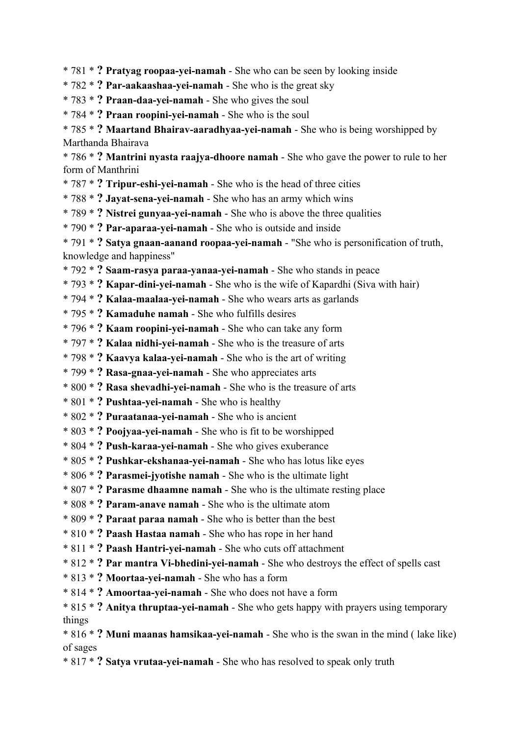\* 781 \* **? Pratyag roopaa-yei-namah** - She who can be seen by looking inside

- \* 782 \* **? Par-aakaashaa-yei-namah** She who is the great sky
- \* 783 \* **? Praan-daa-yei-namah** She who gives the soul
- \* 784 \* **? Praan roopini-yei-namah** She who is the soul
- \* 785 \* **? Maartand Bhairav-aaradhyaa-yei-namah** She who is being worshipped by Marthanda Bhairava

\* 786 \* **? Mantrini nyasta raajya-dhoore namah** - She who gave the power to rule to her form of Manthrini

- \* 787 \* **? Tripur-eshi-yei-namah** She who is the head of three cities
- \* 788 \* **? Jayat-sena-yei-namah** She who has an army which wins
- \* 789 \* **? Nistrei gunyaa-yei-namah** She who is above the three qualities
- \* 790 \* **? Par-aparaa-yei-namah** She who is outside and inside

\* 791 \* **? Satya gnaan-aanand roopaa-yei-namah** - "She who is personification of truth, knowledge and happiness"

- \* 792 \* **? Saam-rasya paraa-yanaa-yei-namah** She who stands in peace
- \* 793 \* **? Kapar-dini-yei-namah** She who is the wife of Kapardhi (Siva with hair)
- \* 794 \* **? Kalaa-maalaa-yei-namah** She who wears arts as garlands
- \* 795 \* **? Kamaduhe namah** She who fulfills desires
- \* 796 \* **? Kaam roopini-yei-namah** She who can take any form
- \* 797 \* **? Kalaa nidhi-yei-namah** She who is the treasure of arts
- \* 798 \* **? Kaavya kalaa-yei-namah** She who is the art of writing
- \* 799 \* **? Rasa-gnaa-yei-namah** She who appreciates arts
- \* 800 \* **? Rasa shevadhi-yei-namah** She who is the treasure of arts
- \* 801 \* **? Pushtaa-yei-namah** She who is healthy
- \* 802 \* **? Puraatanaa-yei-namah** She who is ancient
- \* 803 \* **? Poojyaa-yei-namah** She who is fit to be worshipped
- \* 804 \* **? Push-karaa-yei-namah** She who gives exuberance
- \* 805 \* **? Pushkar-ekshanaa-yei-namah** She who has lotus like eyes
- \* 806 \* **? Parasmei-jyotishe namah** She who is the ultimate light
- \* 807 \* **? Parasme dhaamne namah** She who is the ultimate resting place
- \* 808 \* **? Param-anave namah** She who is the ultimate atom
- \* 809 \* **? Paraat paraa namah** She who is better than the best
- \* 810 \* **? Paash Hastaa namah** She who has rope in her hand
- \* 811 \* **? Paash Hantri-yei-namah** She who cuts off attachment
- \* 812 \* **? Par mantra Vi-bhedini-yei-namah** She who destroys the effect of spells cast
- \* 813 \* **? Moortaa-yei-namah** She who has a form
- \* 814 \* **? Amoortaa-yei-namah** She who does not have a form
- \* 815 \* **? Anitya thruptaa-yei-namah** She who gets happy with prayers using temporary things
- \* 816 \* **? Muni maanas hamsikaa-yei-namah** She who is the swan in the mind ( lake like) of sages
- \* 817 \* **? Satya vrutaa-yei-namah** She who has resolved to speak only truth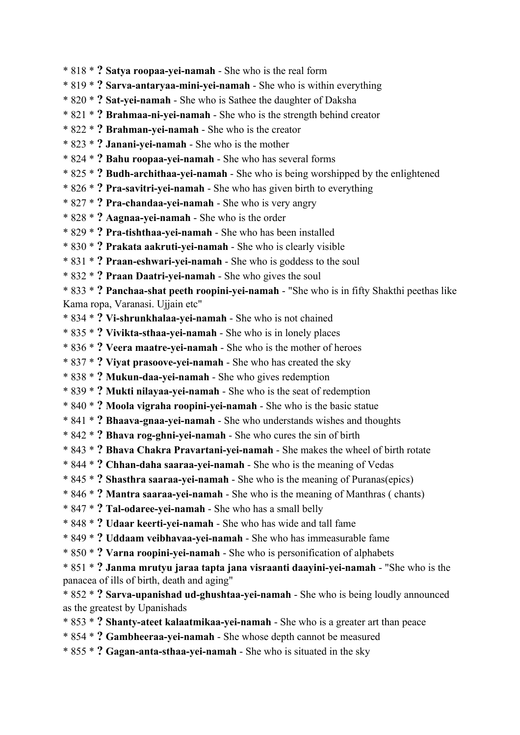- \* 818 \* **? Satya roopaa-yei-namah** She who is the real form
- \* 819 \* **? Sarva-antaryaa-mini-yei-namah** She who is within everything
- \* 820 \* **? Sat-yei-namah** She who is Sathee the daughter of Daksha
- \* 821 \* **? Brahmaa-ni-yei-namah** She who is the strength behind creator
- \* 822 \* **? Brahman-yei-namah** She who is the creator
- \* 823 \* **? Janani-yei-namah** She who is the mother
- \* 824 \* **? Bahu roopaa-yei-namah** She who has several forms
- \* 825 \* **? Budh-archithaa-yei-namah** She who is being worshipped by the enlightened
- \* 826 \* **? Pra-savitri-yei-namah** She who has given birth to everything
- \* 827 \* **? Pra-chandaa-yei-namah** She who is very angry
- \* 828 \* **? Aagnaa-yei-namah** She who is the order
- \* 829 \* **? Pra-tishthaa-yei-namah** She who has been installed
- \* 830 \* **? Prakata aakruti-yei-namah** She who is clearly visible
- \* 831 \* **? Praan-eshwari-yei-namah** She who is goddess to the soul
- \* 832 \* **? Praan Daatri-yei-namah** She who gives the soul
- \* 833 \* **? Panchaa-shat peeth roopini-yei-namah** "She who is in fifty Shakthi peethas like
- Kama ropa, Varanasi. Ujjain etc"
- \* 834 \* **? Vi-shrunkhalaa-yei-namah** She who is not chained
- \* 835 \* **? Vivikta-sthaa-yei-namah** She who is in lonely places
- \* 836 \* **? Veera maatre-yei-namah** She who is the mother of heroes
- \* 837 \* **? Viyat prasoove-yei-namah** She who has created the sky
- \* 838 \* **? Mukun-daa-yei-namah** She who gives redemption
- \* 839 \* **? Mukti nilayaa-yei-namah** She who is the seat of redemption
- \* 840 \* **? Moola vigraha roopini-yei-namah** She who is the basic statue
- \* 841 \* **? Bhaava-gnaa-yei-namah** She who understands wishes and thoughts
- \* 842 \* **? Bhava rog-ghni-yei-namah** She who cures the sin of birth
- \* 843 \* **? Bhava Chakra Pravartani-yei-namah** She makes the wheel of birth rotate
- \* 844 \* **? Chhan-daha saaraa-yei-namah** She who is the meaning of Vedas
- \* 845 \* **? Shasthra saaraa-yei-namah** She who is the meaning of Puranas(epics)
- \* 846 \* **? Mantra saaraa-yei-namah** She who is the meaning of Manthras ( chants)
- \* 847 \* **? Tal-odaree-yei-namah** She who has a small belly
- \* 848 \* **? Udaar keerti-yei-namah** She who has wide and tall fame
- \* 849 \* **? Uddaam veibhavaa-yei-namah** She who has immeasurable fame
- \* 850 \* **? Varna roopini-yei-namah** She who is personification of alphabets
- \* 851 \* **? Janma mrutyu jaraa tapta jana visraanti daayini-yei-namah** "She who is the panacea of ills of birth, death and aging"
- \* 852 \* **? Sarva-upanishad ud-ghushtaa-yei-namah** She who is being loudly announced as the greatest by Upanishads
- \* 853 \* **? Shanty-ateet kalaatmikaa-yei-namah** She who is a greater art than peace
- \* 854 \* **? Gambheeraa-yei-namah** She whose depth cannot be measured
- \* 855 \* **? Gagan-anta-sthaa-yei-namah** She who is situated in the sky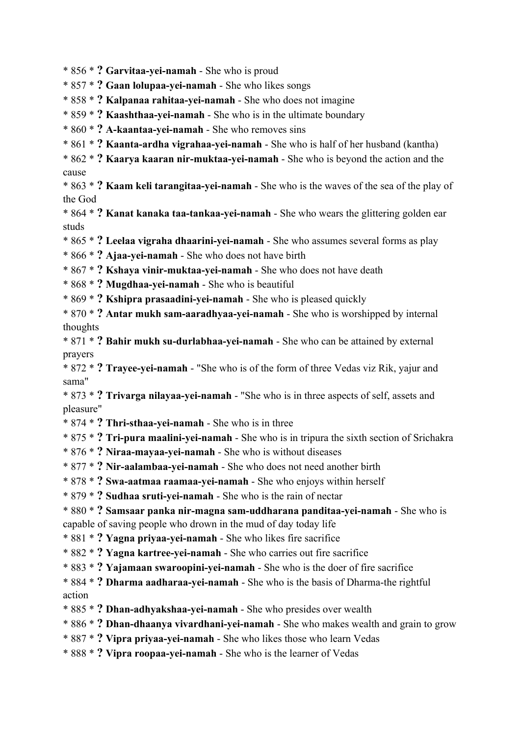- \* 856 \* **? Garvitaa-yei-namah** She who is proud
- \* 857 \* **? Gaan lolupaa-yei-namah** She who likes songs
- \* 858 \* **? Kalpanaa rahitaa-yei-namah** She who does not imagine
- \* 859 \* **? Kaashthaa-yei-namah** She who is in the ultimate boundary
- \* 860 \* **? A-kaantaa-yei-namah** She who removes sins
- \* 861 \* **? Kaanta-ardha vigrahaa-yei-namah** She who is half of her husband (kantha)
- \* 862 \* **? Kaarya kaaran nir-muktaa-yei-namah** She who is beyond the action and the cause
- \* 863 \* **? Kaam keli tarangitaa-yei-namah** She who is the waves of the sea of the play of the God
- \* 864 \* **? Kanat kanaka taa-tankaa-yei-namah** She who wears the glittering golden ear studs
- \* 865 \* **? Leelaa vigraha dhaarini-yei-namah** She who assumes several forms as play
- \* 866 \* **? Ajaa-yei-namah** She who does not have birth
- \* 867 \* **? Kshaya vinir-muktaa-yei-namah** She who does not have death
- \* 868 \* **? Mugdhaa-yei-namah** She who is beautiful
- \* 869 \* **? Kshipra prasaadini-yei-namah** She who is pleased quickly
- \* 870 \* **? Antar mukh sam-aaradhyaa-yei-namah** She who is worshipped by internal thoughts
- \* 871 \* **? Bahir mukh su-durlabhaa-yei-namah** She who can be attained by external prayers
- \* 872 \* **? Trayee-yei-namah** "She who is of the form of three Vedas viz Rik, yajur and sama"
- \* 873 \* **? Trivarga nilayaa-yei-namah** "She who is in three aspects of self, assets and pleasure"
- \* 874 \* **? Thri-sthaa-yei-namah** She who is in three
- \* 875 \* **? Tri-pura maalini-yei-namah** She who is in tripura the sixth section of Srichakra
- \* 876 \* **? Niraa-mayaa-yei-namah** She who is without diseases
- \* 877 \* **? Nir-aalambaa-yei-namah** She who does not need another birth
- \* 878 \* **? Swa-aatmaa raamaa-yei-namah** She who enjoys within herself
- \* 879 \* **? Sudhaa sruti-yei-namah** She who is the rain of nectar
- \* 880 \* **? Samsaar panka nir-magna sam-uddharana panditaa-yei-namah** She who is capable of saving people who drown in the mud of day today life
- \* 881 \* **? Yagna priyaa-yei-namah** She who likes fire sacrifice
- \* 882 \* **? Yagna kartree-yei-namah** She who carries out fire sacrifice
- \* 883 \* **? Yajamaan swaroopini-yei-namah** She who is the doer of fire sacrifice
- \* 884 \* **? Dharma aadharaa-yei-namah** She who is the basis of Dharma-the rightful action
- \* 885 \* **? Dhan-adhyakshaa-yei-namah** She who presides over wealth
- \* 886 \* **? Dhan-dhaanya vivardhani-yei-namah** She who makes wealth and grain to grow
- \* 887 \* **? Vipra priyaa-yei-namah** She who likes those who learn Vedas
- \* 888 \* **? Vipra roopaa-yei-namah** She who is the learner of Vedas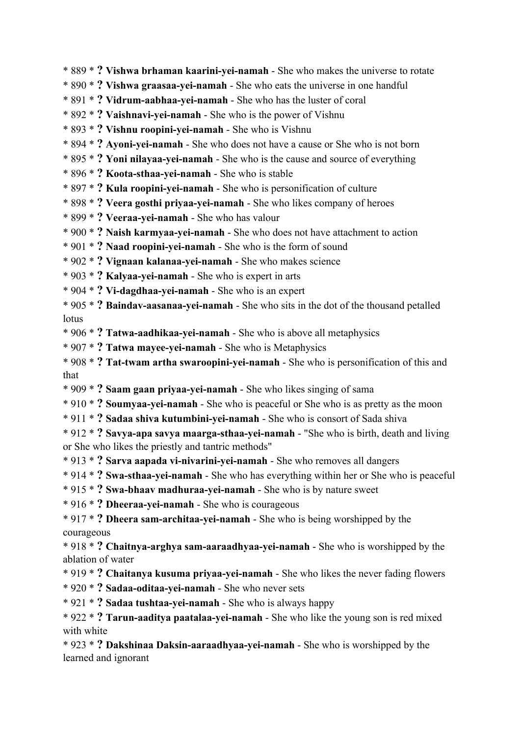- \* 889 \* **? Vishwa brhaman kaarini-yei-namah** She who makes the universe to rotate
- \* 890 \* **? Vishwa graasaa-yei-namah** She who eats the universe in one handful
- \* 891 \* **? Vidrum-aabhaa-yei-namah** She who has the luster of coral
- \* 892 \* **? Vaishnavi-yei-namah** She who is the power of Vishnu
- \* 893 \* **? Vishnu roopini-yei-namah** She who is Vishnu
- \* 894 \* **? Ayoni-yei-namah** She who does not have a cause or She who is not born
- \* 895 \* **? Yoni nilayaa-yei-namah** She who is the cause and source of everything
- \* 896 \* **? Koota-sthaa-yei-namah** She who is stable
- \* 897 \* **? Kula roopini-yei-namah** She who is personification of culture
- \* 898 \* **? Veera gosthi priyaa-yei-namah** She who likes company of heroes
- \* 899 \* **? Veeraa-yei-namah** She who has valour
- \* 900 \* **? Naish karmyaa-yei-namah** She who does not have attachment to action
- \* 901 \* **? Naad roopini-yei-namah** She who is the form of sound
- \* 902 \* **? Vignaan kalanaa-yei-namah** She who makes science
- \* 903 \* **? Kalyaa-yei-namah** She who is expert in arts
- \* 904 \* **? Vi-dagdhaa-yei-namah** She who is an expert
- \* 905 \* **? Baindav-aasanaa-yei-namah** She who sits in the dot of the thousand petalled lotus
- \* 906 \* **? Tatwa-aadhikaa-yei-namah** She who is above all metaphysics
- \* 907 \* **? Tatwa mayee-yei-namah** She who is Metaphysics
- \* 908 \* **? Tat-twam artha swaroopini-yei-namah** She who is personification of this and that
- \* 909 \* **? Saam gaan priyaa-yei-namah** She who likes singing of sama
- \* 910 \* **? Soumyaa-yei-namah** She who is peaceful or She who is as pretty as the moon
- \* 911 \* **? Sadaa shiva kutumbini-yei-namah** She who is consort of Sada shiva
- \* 912 \* **? Savya-apa savya maarga-sthaa-yei-namah** "She who is birth, death and living or She who likes the priestly and tantric methods"
- \* 913 \* **? Sarva aapada vi-nivarini-yei-namah** She who removes all dangers
- \* 914 \* **? Swa-sthaa-yei-namah** She who has everything within her or She who is peaceful
- \* 915 \* **? Swa-bhaav madhuraa-yei-namah** She who is by nature sweet
- \* 916 \* **? Dheeraa-yei-namah** She who is courageous
- \* 917 \* **? Dheera sam-architaa-yei-namah** She who is being worshipped by the courageous
- \* 918 \* **? Chaitnya-arghya sam-aaraadhyaa-yei-namah** She who is worshipped by the ablation of water
- \* 919 \* **? Chaitanya kusuma priyaa-yei-namah** She who likes the never fading flowers
- \* 920 \* **? Sadaa-oditaa-yei-namah** She who never sets
- \* 921 \* **? Sadaa tushtaa-yei-namah** She who is always happy
- \* 922 \* **? Tarun-aaditya paatalaa-yei-namah** She who like the young son is red mixed with white
- \* 923 \* **? Dakshinaa Daksin-aaraadhyaa-yei-namah** She who is worshipped by the learned and ignorant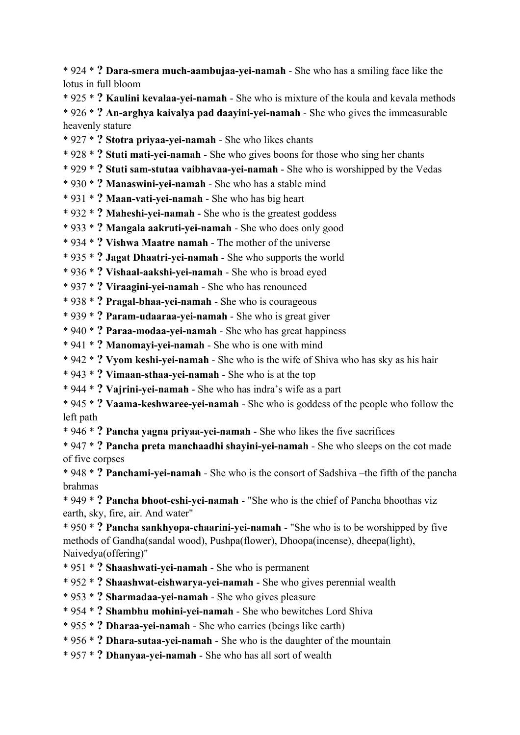\* 924 \* **? Dara-smera much-aambujaa-yei-namah** - She who has a smiling face like the lotus in full bloom

\* 925 \* **? Kaulini kevalaa-yei-namah** - She who is mixture of the koula and kevala methods \* 926 \* **? An-arghya kaivalya pad daayini-yei-namah** - She who gives the immeasurable heavenly stature

\* 927 \* **? Stotra priyaa-yei-namah** - She who likes chants

\* 928 \* **? Stuti mati-yei-namah** - She who gives boons for those who sing her chants

\* 929 \* **? Stuti sam-stutaa vaibhavaa-yei-namah** - She who is worshipped by the Vedas

\* 930 \* **? Manaswini-yei-namah** - She who has a stable mind

\* 931 \* **? Maan-vati-yei-namah** - She who has big heart

\* 932 \* **? Maheshi-yei-namah** - She who is the greatest goddess

\* 933 \* **? Mangala aakruti-yei-namah** - She who does only good

\* 934 \* **? Vishwa Maatre namah** - The mother of the universe

\* 935 \* **? Jagat Dhaatri-yei-namah** - She who supports the world

\* 936 \* **? Vishaal-aakshi-yei-namah** - She who is broad eyed

\* 937 \* **? Viraagini-yei-namah** - She who has renounced

\* 938 \* **? Pragal-bhaa-yei-namah** - She who is courageous

\* 939 \* **? Param-udaaraa-yei-namah** - She who is great giver

\* 940 \* **? Paraa-modaa-yei-namah** - She who has great happiness

\* 941 \* **? Manomayi-yei-namah** - She who is one with mind

\* 942 \* **? Vyom keshi-yei-namah** - She who is the wife of Shiva who has sky as his hair

\* 943 \* **? Vimaan-sthaa-yei-namah** - She who is at the top

\* 944 \* **? Vajrini-yei-namah** - She who has indra's wife as a part

\* 945 \* **? Vaama-keshwaree-yei-namah** - She who is goddess of the people who follow the left path

\* 946 \* **? Pancha yagna priyaa-yei-namah** - She who likes the five sacrifices

\* 947 \* **? Pancha preta manchaadhi shayini-yei-namah** - She who sleeps on the cot made of five corpses

\* 948 \* **? Panchami-yei-namah** - She who is the consort of Sadshiva –the fifth of the pancha brahmas

\* 949 \* **? Pancha bhoot-eshi-yei-namah** - "She who is the chief of Pancha bhoothas viz earth, sky, fire, air. And water"

\* 950 \* **? Pancha sankhyopa-chaarini-yei-namah** - "She who is to be worshipped by five methods of Gandha(sandal wood), Pushpa(flower), Dhoopa(incense), dheepa(light), Naivedya(offering)"

\* 951 \* **? Shaashwati-yei-namah** - She who is permanent

\* 952 \* **? Shaashwat-eishwarya-yei-namah** - She who gives perennial wealth

\* 953 \* **? Sharmadaa-yei-namah** - She who gives pleasure

\* 954 \* **? Shambhu mohini-yei-namah** - She who bewitches Lord Shiva

\* 955 \* **? Dharaa-yei-namah** - She who carries (beings like earth)

\* 956 \* **? Dhara-sutaa-yei-namah** - She who is the daughter of the mountain

\* 957 \* **? Dhanyaa-yei-namah** - She who has all sort of wealth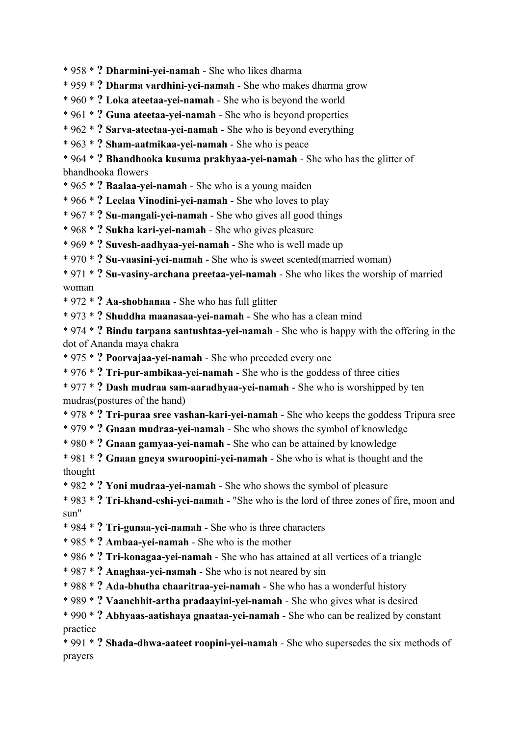- \* 958 \* **? Dharmini-yei-namah** She who likes dharma
- \* 959 \* **? Dharma vardhini-yei-namah** She who makes dharma grow
- \* 960 \* **? Loka ateetaa-yei-namah** She who is beyond the world
- \* 961 \* **? Guna ateetaa-yei-namah** She who is beyond properties
- \* 962 \* **? Sarva-ateetaa-yei-namah** She who is beyond everything
- \* 963 \* **? Sham-aatmikaa-yei-namah** She who is peace
- \* 964 \* **? Bhandhooka kusuma prakhyaa-yei-namah** She who has the glitter of bhandhooka flowers
- \* 965 \* **? Baalaa-yei-namah** She who is a young maiden
- \* 966 \* **? Leelaa Vinodini-yei-namah** She who loves to play
- \* 967 \* **? Su-mangali-yei-namah** She who gives all good things
- \* 968 \* **? Sukha kari-yei-namah** She who gives pleasure
- \* 969 \* **? Suvesh-aadhyaa-yei-namah** She who is well made up
- \* 970 \* **? Su-vaasini-yei-namah** She who is sweet scented(married woman)

\* 971 \* **? Su-vasiny-archana preetaa-yei-namah** - She who likes the worship of married woman

- \* 972 \* **? Aa-shobhanaa** She who has full glitter
- \* 973 \* **? Shuddha maanasaa-yei-namah** She who has a clean mind

\* 974 \* **? Bindu tarpana santushtaa-yei-namah** - She who is happy with the offering in the dot of Ananda maya chakra

- \* 975 \* **? Poorvajaa-yei-namah** She who preceded every one
- \* 976 \* **? Tri-pur-ambikaa-yei-namah** She who is the goddess of three cities
- \* 977 \* **? Dash mudraa sam-aaradhyaa-yei-namah** She who is worshipped by ten mudras(postures of the hand)
- \* 978 \* **? Tri-puraa sree vashan-kari-yei-namah** She who keeps the goddess Tripura sree
- \* 979 \* **? Gnaan mudraa-yei-namah** She who shows the symbol of knowledge
- \* 980 \* **? Gnaan gamyaa-yei-namah** She who can be attained by knowledge
- \* 981 \* **? Gnaan gneya swaroopini-yei-namah** She who is what is thought and the thought
- \* 982 \* **? Yoni mudraa-yei-namah** She who shows the symbol of pleasure
- \* 983 \* **? Tri-khand-eshi-yei-namah** "She who is the lord of three zones of fire, moon and sun"
- \* 984 \* **? Tri-gunaa-yei-namah** She who is three characters
- \* 985 \* **? Ambaa-yei-namah** She who is the mother
- \* 986 \* **? Tri-konagaa-yei-namah** She who has attained at all vertices of a triangle
- \* 987 \* **? Anaghaa-yei-namah** She who is not neared by sin
- \* 988 \* **? Ada-bhutha chaaritraa-yei-namah** She who has a wonderful history
- \* 989 \* **? Vaanchhit-artha pradaayini-yei-namah** She who gives what is desired
- \* 990 \* **? Abhyaas-aatishaya gnaataa-yei-namah** She who can be realized by constant practice

\* 991 \* **? Shada-dhwa-aateet roopini-yei-namah** - She who supersedes the six methods of prayers